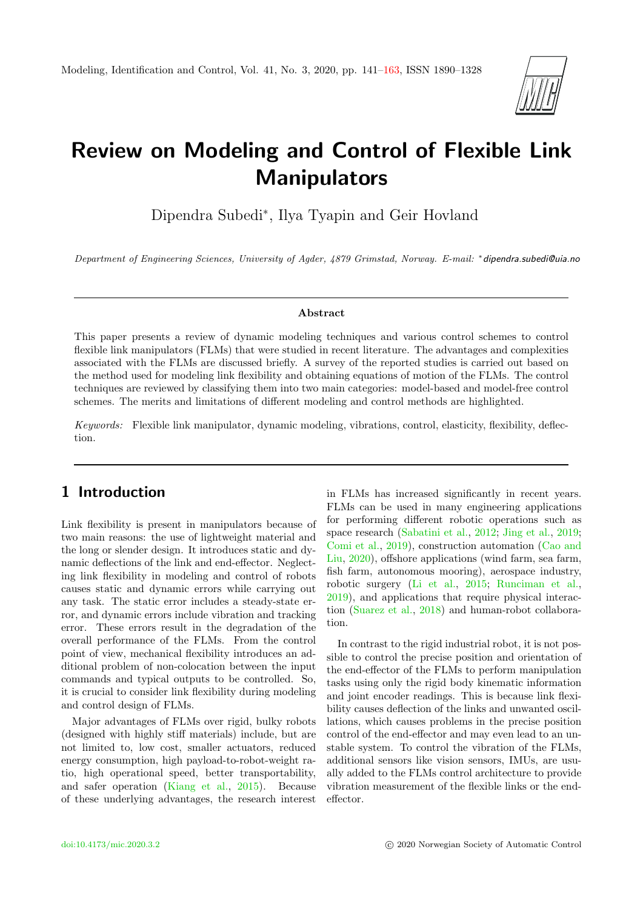

# Review on Modeling and Control of Flexible Link Manipulators

Dipendra Subedi<sup>∗</sup> , Ilya Tyapin and Geir Hovland

Department of Engineering Sciences, University of Agder, 4879 Grimstad, Norway. E-mail: <sup>∗</sup> dipendra.subedi@uia.no

#### Abstract

This paper presents a review of dynamic modeling techniques and various control schemes to control flexible link manipulators (FLMs) that were studied in recent literature. The advantages and complexities associated with the FLMs are discussed briefly. A survey of the reported studies is carried out based on the method used for modeling link flexibility and obtaining equations of motion of the FLMs. The control techniques are reviewed by classifying them into two main categories: model-based and model-free control schemes. The merits and limitations of different modeling and control methods are highlighted.

Keywords: Flexible link manipulator, dynamic modeling, vibrations, control, elasticity, flexibility, deflection.

# 1 Introduction

Link flexibility is present in manipulators because of two main reasons: the use of lightweight material and the long or slender design. It introduces static and dynamic deflections of the link and end-effector. Neglecting link flexibility in modeling and control of robots causes static and dynamic errors while carrying out any task. The static error includes a steady-state error, and dynamic errors include vibration and tracking error. These errors result in the degradation of the overall performance of the FLMs. From the control point of view, mechanical flexibility introduces an additional problem of non-colocation between the input commands and typical outputs to be controlled. So, it is crucial to consider link flexibility during modeling and control design of FLMs.

Major advantages of FLMs over rigid, bulky robots (designed with highly stiff materials) include, but are not limited to, low cost, smaller actuators, reduced energy consumption, high payload-to-robot-weight ratio, high operational speed, better transportability, and safer operation [\(Kiang et al.,](#page-17-0) [2015\)](#page-17-0). Because of these underlying advantages, the research interest

in FLMs has increased significantly in recent years. FLMs can be used in many engineering applications for performing different robotic operations such as space research [\(Sabatini et al.,](#page-20-0) [2012;](#page-20-0) [Jing et al.,](#page-17-1) [2019;](#page-17-1) [Comi et al.,](#page-16-0) [2019\)](#page-16-0), construction automation [\(Cao and](#page-16-1) [Liu,](#page-16-1) [2020\)](#page-16-1), offshore applications (wind farm, sea farm, fish farm, autonomous mooring), aerospace industry, robotic surgery [\(Li et al.,](#page-18-0) [2015;](#page-18-0) [Runciman et al.,](#page-20-1) [2019\)](#page-20-1), and applications that require physical interaction [\(Suarez et al.,](#page-20-2) [2018\)](#page-20-2) and human-robot collaboration.

In contrast to the rigid industrial robot, it is not possible to control the precise position and orientation of the end-effector of the FLMs to perform manipulation tasks using only the rigid body kinematic information and joint encoder readings. This is because link flexibility causes deflection of the links and unwanted oscillations, which causes problems in the precise position control of the end-effector and may even lead to an unstable system. To control the vibration of the FLMs, additional sensors like vision sensors, IMUs, are usually added to the FLMs control architecture to provide vibration measurement of the flexible links or the endeffector.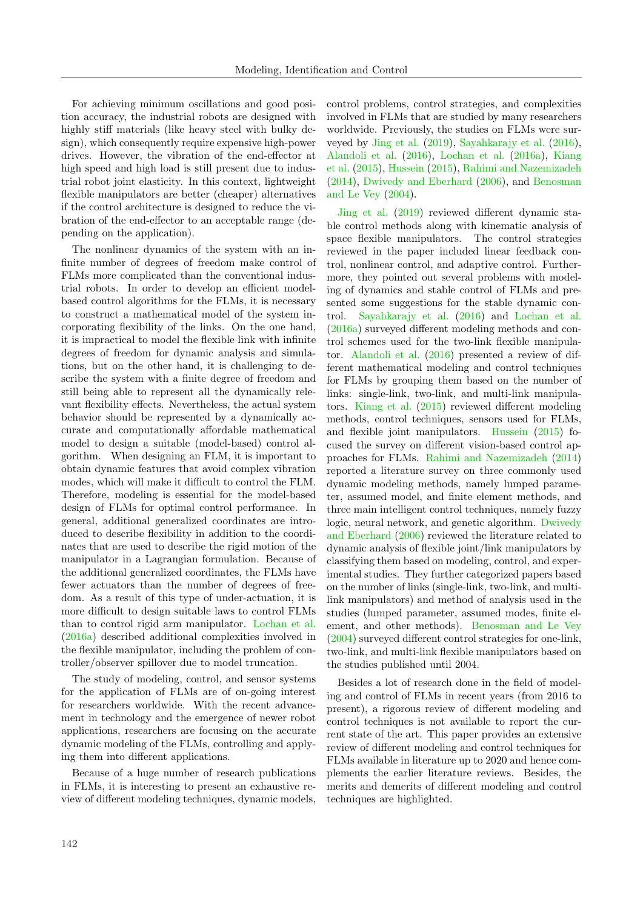For achieving minimum oscillations and good position accuracy, the industrial robots are designed with highly stiff materials (like heavy steel with bulky design), which consequently require expensive high-power drives. However, the vibration of the end-effector at high speed and high load is still present due to industrial robot joint elasticity. In this context, lightweight flexible manipulators are better (cheaper) alternatives if the control architecture is designed to reduce the vibration of the end-effector to an acceptable range (depending on the application).

The nonlinear dynamics of the system with an infinite number of degrees of freedom make control of FLMs more complicated than the conventional industrial robots. In order to develop an efficient modelbased control algorithms for the FLMs, it is necessary to construct a mathematical model of the system incorporating flexibility of the links. On the one hand, it is impractical to model the flexible link with infinite degrees of freedom for dynamic analysis and simulations, but on the other hand, it is challenging to describe the system with a finite degree of freedom and still being able to represent all the dynamically relevant flexibility effects. Nevertheless, the actual system behavior should be represented by a dynamically accurate and computationally affordable mathematical model to design a suitable (model-based) control algorithm. When designing an FLM, it is important to obtain dynamic features that avoid complex vibration modes, which will make it difficult to control the FLM. Therefore, modeling is essential for the model-based design of FLMs for optimal control performance. In general, additional generalized coordinates are introduced to describe flexibility in addition to the coordinates that are used to describe the rigid motion of the manipulator in a Lagrangian formulation. Because of the additional generalized coordinates, the FLMs have fewer actuators than the number of degrees of freedom. As a result of this type of under-actuation, it is more difficult to design suitable laws to control FLMs than to control rigid arm manipulator. [Lochan et al.](#page-18-1) [\(2016a\)](#page-18-1) described additional complexities involved in the flexible manipulator, including the problem of controller/observer spillover due to model truncation.

The study of modeling, control, and sensor systems for the application of FLMs are of on-going interest for researchers worldwide. With the recent advancement in technology and the emergence of newer robot applications, researchers are focusing on the accurate dynamic modeling of the FLMs, controlling and applying them into different applications.

Because of a huge number of research publications in FLMs, it is interesting to present an exhaustive review of different modeling techniques, dynamic models,

control problems, control strategies, and complexities involved in FLMs that are studied by many researchers worldwide. Previously, the studies on FLMs were surveyed by [Jing et al.](#page-17-1) [\(2019\)](#page-17-1), [Sayahkarajy et al.](#page-20-3) [\(2016\)](#page-20-3), [Alandoli et al.](#page-14-0) [\(2016\)](#page-14-0), [Lochan et al.](#page-18-1) [\(2016a\)](#page-18-1), [Kiang](#page-17-0) [et al.](#page-17-0) [\(2015\)](#page-17-0), [Hussein](#page-17-2) [\(2015\)](#page-17-2), [Rahimi and Nazemizadeh](#page-19-0) [\(2014\)](#page-19-0), [Dwivedy and Eberhard](#page-16-2) [\(2006\)](#page-16-2), and [Benosman](#page-15-0) [and Le Vey](#page-15-0) [\(2004\)](#page-15-0).

[Jing et al.](#page-17-1) [\(2019\)](#page-17-1) reviewed different dynamic stable control methods along with kinematic analysis of space flexible manipulators. The control strategies reviewed in the paper included linear feedback control, nonlinear control, and adaptive control. Furthermore, they pointed out several problems with modeling of dynamics and stable control of FLMs and presented some suggestions for the stable dynamic control. [Sayahkarajy et al.](#page-20-3) [\(2016\)](#page-20-3) and [Lochan et al.](#page-18-1) [\(2016a\)](#page-18-1) surveyed different modeling methods and control schemes used for the two-link flexible manipulator. [Alandoli et al.](#page-14-0) [\(2016\)](#page-14-0) presented a review of different mathematical modeling and control techniques for FLMs by grouping them based on the number of links: single-link, two-link, and multi-link manipulators. [Kiang et al.](#page-17-0) [\(2015\)](#page-17-0) reviewed different modeling methods, control techniques, sensors used for FLMs, and flexible joint manipulators. [Hussein](#page-17-2) [\(2015\)](#page-17-2) focused the survey on different vision-based control approaches for FLMs. [Rahimi and Nazemizadeh](#page-19-0) [\(2014\)](#page-19-0) reported a literature survey on three commonly used dynamic modeling methods, namely lumped parameter, assumed model, and finite element methods, and three main intelligent control techniques, namely fuzzy logic, neural network, and genetic algorithm. [Dwivedy](#page-16-2) [and Eberhard](#page-16-2) [\(2006\)](#page-16-2) reviewed the literature related to dynamic analysis of flexible joint/link manipulators by classifying them based on modeling, control, and experimental studies. They further categorized papers based on the number of links (single-link, two-link, and multilink manipulators) and method of analysis used in the studies (lumped parameter, assumed modes, finite element, and other methods). [Benosman and Le Vey](#page-15-0) [\(2004\)](#page-15-0) surveyed different control strategies for one-link, two-link, and multi-link flexible manipulators based on the studies published until 2004.

Besides a lot of research done in the field of modeling and control of FLMs in recent years (from 2016 to present), a rigorous review of different modeling and control techniques is not available to report the current state of the art. This paper provides an extensive review of different modeling and control techniques for FLMs available in literature up to 2020 and hence complements the earlier literature reviews. Besides, the merits and demerits of different modeling and control techniques are highlighted.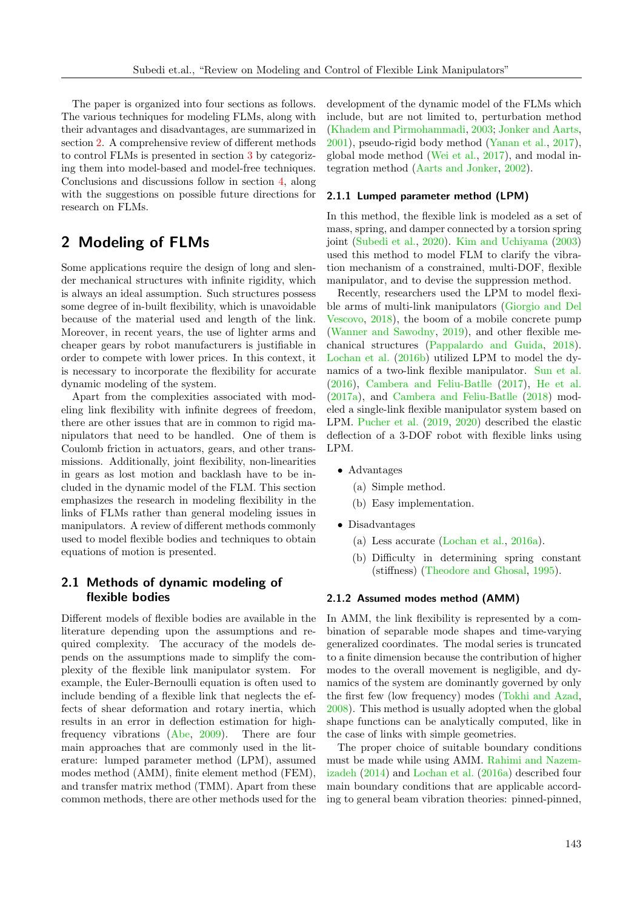The paper is organized into four sections as follows. The various techniques for modeling FLMs, along with their advantages and disadvantages, are summarized in section [2.](#page-2-0) A comprehensive review of different methods to control FLMs is presented in section [3](#page-7-0) by categorizing them into model-based and model-free techniques. Conclusions and discussions follow in section [4,](#page-14-1) along with the suggestions on possible future directions for research on FLMs.

# <span id="page-2-0"></span>2 Modeling of FLMs

Some applications require the design of long and slender mechanical structures with infinite rigidity, which is always an ideal assumption. Such structures possess some degree of in-built flexibility, which is unavoidable because of the material used and length of the link. Moreover, in recent years, the use of lighter arms and cheaper gears by robot manufacturers is justifiable in order to compete with lower prices. In this context, it is necessary to incorporate the flexibility for accurate dynamic modeling of the system.

Apart from the complexities associated with modeling link flexibility with infinite degrees of freedom, there are other issues that are in common to rigid manipulators that need to be handled. One of them is Coulomb friction in actuators, gears, and other transmissions. Additionally, joint flexibility, non-linearities in gears as lost motion and backlash have to be included in the dynamic model of the FLM. This section emphasizes the research in modeling flexibility in the links of FLMs rather than general modeling issues in manipulators. A review of different methods commonly used to model flexible bodies and techniques to obtain equations of motion is presented.

## 2.1 Methods of dynamic modeling of flexible bodies

Different models of flexible bodies are available in the literature depending upon the assumptions and required complexity. The accuracy of the models depends on the assumptions made to simplify the complexity of the flexible link manipulator system. For example, the Euler-Bernoulli equation is often used to include bending of a flexible link that neglects the effects of shear deformation and rotary inertia, which results in an error in deflection estimation for highfrequency vibrations [\(Abe,](#page-14-2) [2009\)](#page-14-2). There are four main approaches that are commonly used in the literature: lumped parameter method (LPM), assumed modes method (AMM), finite element method (FEM), and transfer matrix method (TMM). Apart from these common methods, there are other methods used for the

development of the dynamic model of the FLMs which include, but are not limited to, perturbation method [\(Khadem and Pirmohammadi,](#page-17-3) [2003;](#page-17-3) [Jonker and Aarts,](#page-17-4) [2001\)](#page-17-4), pseudo-rigid body method [\(Yanan et al.,](#page-21-0) [2017\)](#page-21-0), global mode method [\(Wei et al.,](#page-21-1) [2017\)](#page-21-1), and modal integration method [\(Aarts and Jonker,](#page-14-3) [2002\)](#page-14-3).

#### 2.1.1 Lumped parameter method (LPM)

In this method, the flexible link is modeled as a set of mass, spring, and damper connected by a torsion spring joint [\(Subedi et al.,](#page-21-2) [2020\)](#page-21-2). [Kim and Uchiyama](#page-17-5) [\(2003\)](#page-17-5) used this method to model FLM to clarify the vibration mechanism of a constrained, multi-DOF, flexible manipulator, and to devise the suppression method.

Recently, researchers used the LPM to model flexible arms of multi-link manipulators [\(Giorgio and Del](#page-16-3) [Vescovo,](#page-16-3) [2018\)](#page-16-3), the boom of a mobile concrete pump [\(Wanner and Sawodny,](#page-21-3) [2019\)](#page-21-3), and other flexible mechanical structures [\(Pappalardo and Guida,](#page-19-1) [2018\)](#page-19-1). [Lochan et al.](#page-18-2) [\(2016b\)](#page-18-2) utilized LPM to model the dynamics of a two-link flexible manipulator. [Sun et al.](#page-21-4) [\(2016\)](#page-21-4), [Cambera and Feliu-Batlle](#page-15-1) [\(2017\)](#page-15-1), [He et al.](#page-16-4) [\(2017a\)](#page-16-4), and [Cambera and Feliu-Batlle](#page-15-2) [\(2018\)](#page-15-2) modeled a single-link flexible manipulator system based on LPM. [Pucher et al.](#page-19-2) [\(2019,](#page-19-2) [2020\)](#page-19-3) described the elastic deflection of a 3-DOF robot with flexible links using LPM.

- Advantages
	- (a) Simple method.
	- (b) Easy implementation.
- Disadvantages
	- (a) Less accurate [\(Lochan et al.,](#page-18-1) [2016a\)](#page-18-1).
	- (b) Difficulty in determining spring constant (stiffness) [\(Theodore and Ghosal,](#page-21-5) [1995\)](#page-21-5).

#### 2.1.2 Assumed modes method (AMM)

In AMM, the link flexibility is represented by a combination of separable mode shapes and time-varying generalized coordinates. The modal series is truncated to a finite dimension because the contribution of higher modes to the overall movement is negligible, and dynamics of the system are dominantly governed by only the first few (low frequency) modes [\(Tokhi and Azad,](#page-21-6) [2008\)](#page-21-6). This method is usually adopted when the global shape functions can be analytically computed, like in the case of links with simple geometries.

The proper choice of suitable boundary conditions must be made while using AMM. [Rahimi and Nazem](#page-19-0)[izadeh](#page-19-0) [\(2014\)](#page-19-0) and [Lochan et al.](#page-18-1) [\(2016a\)](#page-18-1) described four main boundary conditions that are applicable according to general beam vibration theories: pinned-pinned,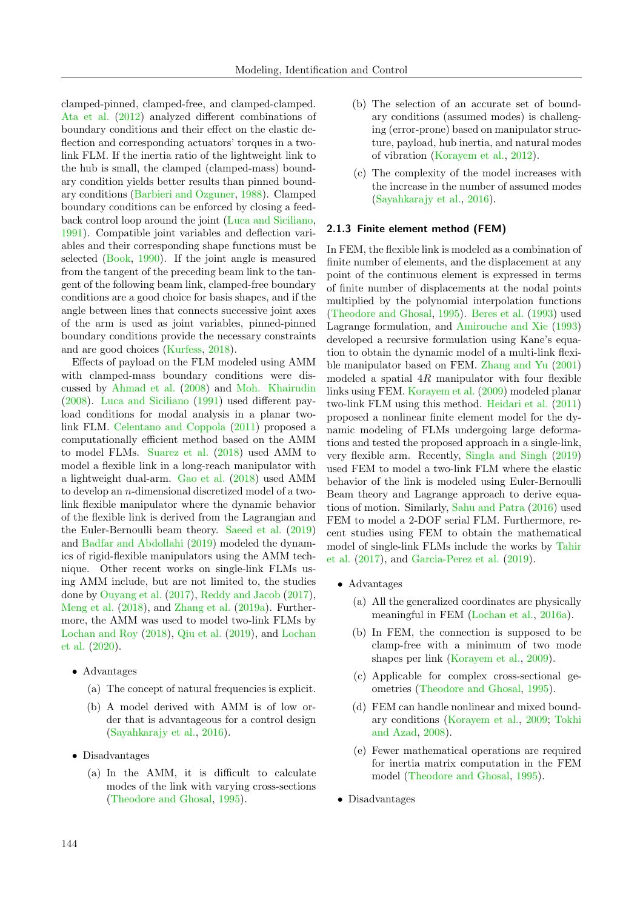clamped-pinned, clamped-free, and clamped-clamped. [Ata et al.](#page-15-3) [\(2012\)](#page-15-3) analyzed different combinations of boundary conditions and their effect on the elastic deflection and corresponding actuators' torques in a twolink FLM. If the inertia ratio of the lightweight link to the hub is small, the clamped (clamped-mass) boundary condition yields better results than pinned boundary conditions [\(Barbieri and Ozguner,](#page-15-4) [1988\)](#page-15-4). Clamped boundary conditions can be enforced by closing a feedback control loop around the joint [\(Luca and Siciliano,](#page-18-3) [1991\)](#page-18-3). Compatible joint variables and deflection variables and their corresponding shape functions must be selected [\(Book,](#page-15-5) [1990\)](#page-15-5). If the joint angle is measured from the tangent of the preceding beam link to the tangent of the following beam link, clamped-free boundary conditions are a good choice for basis shapes, and if the angle between lines that connects successive joint axes of the arm is used as joint variables, pinned-pinned boundary conditions provide the necessary constraints and are good choices [\(Kurfess,](#page-18-4) [2018\)](#page-18-4).

Effects of payload on the FLM modeled using AMM with clamped-mass boundary conditions were discussed by [Ahmad et al.](#page-14-4) [\(2008\)](#page-14-4) and [Moh. Khairudin](#page-19-4) [\(2008\)](#page-19-4). [Luca and Siciliano](#page-18-3) [\(1991\)](#page-18-3) used different payload conditions for modal analysis in a planar twolink FLM. [Celentano and Coppola](#page-16-5) [\(2011\)](#page-16-5) proposed a computationally efficient method based on the AMM to model FLMs. [Suarez et al.](#page-20-2) [\(2018\)](#page-20-2) used AMM to model a flexible link in a long-reach manipulator with a lightweight dual-arm. [Gao et al.](#page-16-6) [\(2018\)](#page-16-6) used AMM to develop an n-dimensional discretized model of a twolink flexible manipulator where the dynamic behavior of the flexible link is derived from the Lagrangian and the Euler-Bernoulli beam theory. [Saeed et al.](#page-20-4) [\(2019\)](#page-20-4) and [Badfar and Abdollahi](#page-15-6) [\(2019\)](#page-15-6) modeled the dynamics of rigid-flexible manipulators using the AMM technique. Other recent works on single-link FLMs using AMM include, but are not limited to, the studies done by [Ouyang et al.](#page-19-5) [\(2017\)](#page-19-5), [Reddy and Jacob](#page-20-5) [\(2017\)](#page-20-5), [Meng et al.](#page-19-6) [\(2018\)](#page-19-6), and [Zhang et al.](#page-22-1) [\(2019a\)](#page-22-1). Furthermore, the AMM was used to model two-link FLMs by [Lochan and Roy](#page-18-5) [\(2018\)](#page-18-5), [Qiu et al.](#page-19-7) [\(2019\)](#page-19-7), and [Lochan](#page-18-6) [et al.](#page-18-6) [\(2020\)](#page-18-6).

- Advantages
	- (a) The concept of natural frequencies is explicit.
	- (b) A model derived with AMM is of low order that is advantageous for a control design [\(Sayahkarajy et al.,](#page-20-3) [2016\)](#page-20-3).
- Disadvantages
	- (a) In the AMM, it is difficult to calculate modes of the link with varying cross-sections [\(Theodore and Ghosal,](#page-21-5) [1995\)](#page-21-5).
- (b) The selection of an accurate set of boundary conditions (assumed modes) is challenging (error-prone) based on manipulator structure, payload, hub inertia, and natural modes of vibration [\(Korayem et al.,](#page-17-6) [2012\)](#page-17-6).
- (c) The complexity of the model increases with the increase in the number of assumed modes [\(Sayahkarajy et al.,](#page-20-3) [2016\)](#page-20-3).

#### 2.1.3 Finite element method (FEM)

In FEM, the flexible link is modeled as a combination of finite number of elements, and the displacement at any point of the continuous element is expressed in terms of finite number of displacements at the nodal points multiplied by the polynomial interpolation functions [\(Theodore and Ghosal,](#page-21-5) [1995\)](#page-21-5). [Beres et al.](#page-15-7) [\(1993\)](#page-15-7) used Lagrange formulation, and [Amirouche and Xie](#page-15-8) [\(1993\)](#page-15-8) developed a recursive formulation using Kane's equation to obtain the dynamic model of a multi-link flexible manipulator based on FEM. [Zhang and Yu](#page-22-2) [\(2001\)](#page-22-2) modeled a spatial  $4R$  manipulator with four flexible links using FEM. [Korayem et al.](#page-17-7) [\(2009\)](#page-17-7) modeled planar two-link FLM using this method. [Heidari et al.](#page-17-8) [\(2011\)](#page-17-8) proposed a nonlinear finite element model for the dynamic modeling of FLMs undergoing large deformations and tested the proposed approach in a single-link, very flexible arm. Recently, [Singla and Singh](#page-20-6) [\(2019\)](#page-20-6) used FEM to model a two-link FLM where the elastic behavior of the link is modeled using Euler-Bernoulli Beam theory and Lagrange approach to derive equations of motion. Similarly, [Sahu and Patra](#page-20-7) [\(2016\)](#page-20-7) used FEM to model a 2-DOF serial FLM. Furthermore, recent studies using FEM to obtain the mathematical model of single-link FLMs include the works by [Tahir](#page-21-7) [et al.](#page-21-7) [\(2017\)](#page-21-7), and [Garcia-Perez et al.](#page-16-7) [\(2019\)](#page-16-7).

- Advantages
	- (a) All the generalized coordinates are physically meaningful in FEM [\(Lochan et al.,](#page-18-1) [2016a\)](#page-18-1).
	- (b) In FEM, the connection is supposed to be clamp-free with a minimum of two mode shapes per link [\(Korayem et al.,](#page-17-7) [2009\)](#page-17-7).
	- (c) Applicable for complex cross-sectional geometries [\(Theodore and Ghosal,](#page-21-5) [1995\)](#page-21-5).
	- (d) FEM can handle nonlinear and mixed boundary conditions [\(Korayem et al.,](#page-17-7) [2009;](#page-17-7) [Tokhi](#page-21-6) [and Azad,](#page-21-6) [2008\)](#page-21-6).
	- (e) Fewer mathematical operations are required for inertia matrix computation in the FEM model [\(Theodore and Ghosal,](#page-21-5) [1995\)](#page-21-5).
- Disadvantages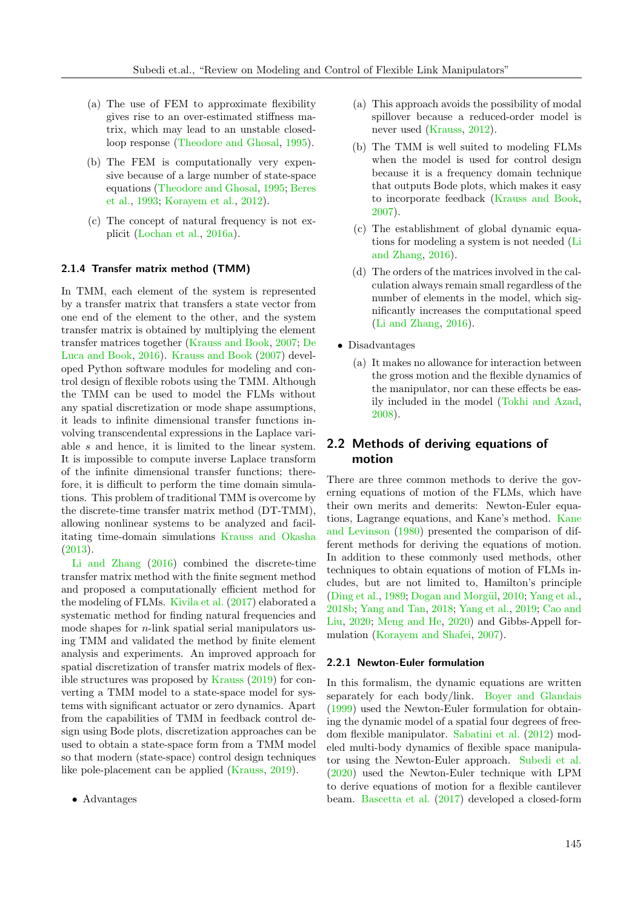- (a) The use of FEM to approximate flexibility gives rise to an over-estimated stiffness matrix, which may lead to an unstable closedloop response [\(Theodore and Ghosal,](#page-21-5) [1995\)](#page-21-5).
- (b) The FEM is computationally very expensive because of a large number of state-space equations [\(Theodore and Ghosal,](#page-21-5) [1995;](#page-21-5) [Beres](#page-15-7) [et al.,](#page-15-7) [1993;](#page-15-7) [Korayem et al.,](#page-17-6) [2012\)](#page-17-6).
- (c) The concept of natural frequency is not explicit [\(Lochan et al.,](#page-18-1) [2016a\)](#page-18-1).

#### 2.1.4 Transfer matrix method (TMM)

In TMM, each element of the system is represented by a transfer matrix that transfers a state vector from one end of the element to the other, and the system transfer matrix is obtained by multiplying the element transfer matrices together [\(Krauss and Book,](#page-18-7) [2007;](#page-18-7) [De](#page-16-8) [Luca and Book,](#page-16-8) [2016\)](#page-16-8). [Krauss and Book](#page-18-7) [\(2007\)](#page-18-7) developed Python software modules for modeling and control design of flexible robots using the TMM. Although the TMM can be used to model the FLMs without any spatial discretization or mode shape assumptions, it leads to infinite dimensional transfer functions involving transcendental expressions in the Laplace variable s and hence, it is limited to the linear system. It is impossible to compute inverse Laplace transform of the infinite dimensional transfer functions; therefore, it is difficult to perform the time domain simulations. This problem of traditional TMM is overcome by the discrete-time transfer matrix method (DT-TMM), allowing nonlinear systems to be analyzed and facilitating time-domain simulations [Krauss and Okasha](#page-17-9) [\(2013\)](#page-17-9).

[Li and Zhang](#page-18-8) [\(2016\)](#page-18-8) combined the discrete-time transfer matrix method with the finite segment method and proposed a computationally efficient method for the modeling of FLMs. [Kivila et al.](#page-17-10) [\(2017\)](#page-17-10) elaborated a systematic method for finding natural frequencies and mode shapes for n-link spatial serial manipulators using TMM and validated the method by finite element analysis and experiments. An improved approach for spatial discretization of transfer matrix models of flexible structures was proposed by [Krauss](#page-17-11) [\(2019\)](#page-17-11) for converting a TMM model to a state-space model for systems with significant actuator or zero dynamics. Apart from the capabilities of TMM in feedback control design using Bode plots, discretization approaches can be used to obtain a state-space form from a TMM model so that modern (state-space) control design techniques like pole-placement can be applied [\(Krauss,](#page-17-11) [2019\)](#page-17-11).

- (a) This approach avoids the possibility of modal spillover because a reduced-order model is never used [\(Krauss,](#page-18-9) [2012\)](#page-18-9).
- (b) The TMM is well suited to modeling FLMs when the model is used for control design because it is a frequency domain technique that outputs Bode plots, which makes it easy to incorporate feedback [\(Krauss and Book,](#page-18-7) [2007\)](#page-18-7).
- (c) The establishment of global dynamic equations for modeling a system is not needed [\(Li](#page-18-8) [and Zhang,](#page-18-8) [2016\)](#page-18-8).
- (d) The orders of the matrices involved in the calculation always remain small regardless of the number of elements in the model, which significantly increases the computational speed [\(Li and Zhang,](#page-18-8) [2016\)](#page-18-8).
- Disadvantages
	- (a) It makes no allowance for interaction between the gross motion and the flexible dynamics of the manipulator, nor can these effects be easily included in the model [\(Tokhi and Azad,](#page-21-6) [2008\)](#page-21-6).

## 2.2 Methods of deriving equations of motion

There are three common methods to derive the governing equations of motion of the FLMs, which have their own merits and demerits: Newton-Euler equations, Lagrange equations, and Kane's method. [Kane](#page-17-12) [and Levinson](#page-17-12) [\(1980\)](#page-17-12) presented the comparison of different methods for deriving the equations of motion. In addition to these commonly used methods, other techniques to obtain equations of motion of FLMs includes, but are not limited to, Hamilton's principle [\(Ding et al.,](#page-16-9) [1989;](#page-16-9) Dogan and Morgül, [2010;](#page-16-10) [Yang et al.,](#page-21-8) [2018b;](#page-21-8) [Yang and Tan,](#page-21-9) [2018;](#page-21-9) [Yang et al.,](#page-22-3) [2019;](#page-22-3) [Cao and](#page-16-1) [Liu,](#page-16-1) [2020;](#page-16-1) [Meng and He,](#page-19-8) [2020\)](#page-19-8) and Gibbs-Appell formulation [\(Korayem and Shafei,](#page-17-13) [2007\)](#page-17-13).

#### 2.2.1 Newton-Euler formulation

In this formalism, the dynamic equations are written separately for each body/link. [Boyer and Glandais](#page-15-9) [\(1999\)](#page-15-9) used the Newton-Euler formulation for obtaining the dynamic model of a spatial four degrees of freedom flexible manipulator. [Sabatini et al.](#page-20-0) [\(2012\)](#page-20-0) modeled multi-body dynamics of flexible space manipulator using the Newton-Euler approach. [Subedi et al.](#page-21-2) [\(2020\)](#page-21-2) used the Newton-Euler technique with LPM to derive equations of motion for a flexible cantilever beam. [Bascetta et al.](#page-15-10) [\(2017\)](#page-15-10) developed a closed-form

<sup>•</sup> Advantages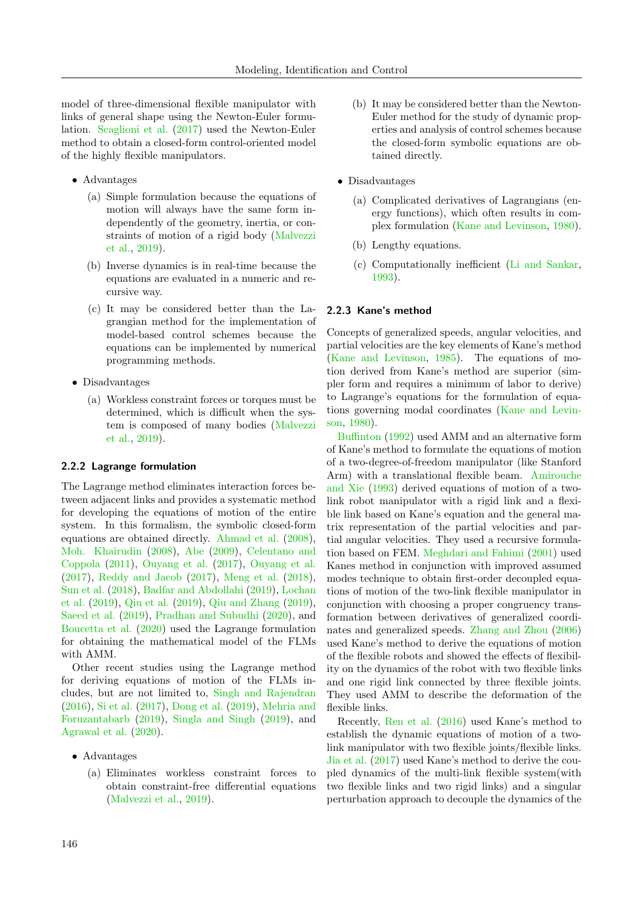model of three-dimensional flexible manipulator with links of general shape using the Newton-Euler formulation. [Scaglioni et al.](#page-20-8) [\(2017\)](#page-20-8) used the Newton-Euler method to obtain a closed-form control-oriented model of the highly flexible manipulators.

- Advantages
	- (a) Simple formulation because the equations of motion will always have the same form independently of the geometry, inertia, or constraints of motion of a rigid body [\(Malvezzi](#page-19-9) [et al.,](#page-19-9) [2019\)](#page-19-9).
	- (b) Inverse dynamics is in real-time because the equations are evaluated in a numeric and recursive way.
	- (c) It may be considered better than the Lagrangian method for the implementation of model-based control schemes because the equations can be implemented by numerical programming methods.
- Disadvantages
	- (a) Workless constraint forces or torques must be determined, which is difficult when the system is composed of many bodies [\(Malvezzi](#page-19-9) [et al.,](#page-19-9) [2019\)](#page-19-9).

## 2.2.2 Lagrange formulation

The Lagrange method eliminates interaction forces between adjacent links and provides a systematic method for developing the equations of motion of the entire system. In this formalism, the symbolic closed-form equations are obtained directly. [Ahmad et al.](#page-14-4) [\(2008\)](#page-14-4), [Moh. Khairudin](#page-19-4) [\(2008\)](#page-19-4), [Abe](#page-14-2) [\(2009\)](#page-14-2), [Celentano and](#page-16-5) [Coppola](#page-16-5) [\(2011\)](#page-16-5), [Ouyang et al.](#page-19-5) [\(2017\)](#page-19-5), [Ouyang et al.](#page-19-5) [\(2017\)](#page-19-5), [Reddy and Jacob](#page-20-5) [\(2017\)](#page-20-5), [Meng et al.](#page-19-6) [\(2018\)](#page-19-6), [Sun et al.](#page-21-10) [\(2018\)](#page-21-10), [Badfar and Abdollahi](#page-15-6) [\(2019\)](#page-15-6), [Lochan](#page-18-10) [et al.](#page-18-10) [\(2019\)](#page-18-10), [Qiu et al.](#page-19-7) [\(2019\)](#page-19-7), [Qiu and Zhang](#page-19-10) [\(2019\)](#page-19-10), [Saeed et al.](#page-20-4) [\(2019\)](#page-20-4), [Pradhan and Subudhi](#page-19-11) [\(2020\)](#page-19-11), and [Boucetta et al.](#page-15-11) [\(2020\)](#page-15-11) used the Lagrange formulation for obtaining the mathematical model of the FLMs with AMM.

Other recent studies using the Lagrange method for deriving equations of motion of the FLMs includes, but are not limited to, [Singh and Rajendran](#page-20-9) [\(2016\)](#page-20-9), [Si et al.](#page-20-10) [\(2017\)](#page-20-10), [Dong et al.](#page-16-11) [\(2019\)](#page-16-11), [Mehria and](#page-19-12) [Foruzantabarb](#page-19-12) [\(2019\)](#page-19-12), [Singla and Singh](#page-20-6) [\(2019\)](#page-20-6), and [Agrawal et al.](#page-14-5) [\(2020\)](#page-14-5).

- Advantages
	- (a) Eliminates workless constraint forces to obtain constraint-free differential equations [\(Malvezzi et al.,](#page-19-9) [2019\)](#page-19-9).
- (b) It may be considered better than the Newton-Euler method for the study of dynamic properties and analysis of control schemes because the closed-form symbolic equations are obtained directly.
- Disadvantages
	- (a) Complicated derivatives of Lagrangians (energy functions), which often results in complex formulation [\(Kane and Levinson,](#page-17-12) [1980\)](#page-17-12).
	- (b) Lengthy equations.
	- (c) Computationally inefficient [\(Li and Sankar,](#page-18-11) [1993\)](#page-18-11).

#### 2.2.3 Kane's method

Concepts of generalized speeds, angular velocities, and partial velocities are the key elements of Kane's method [\(Kane and Levinson,](#page-17-14) [1985\)](#page-17-14). The equations of motion derived from Kane's method are superior (simpler form and requires a minimum of labor to derive) to Lagrange's equations for the formulation of equations governing modal coordinates [\(Kane and Levin](#page-17-12)[son,](#page-17-12) [1980\)](#page-17-12).

[Buffinton](#page-15-12) [\(1992\)](#page-15-12) used AMM and an alternative form of Kane's method to formulate the equations of motion of a two-degree-of-freedom manipulator (like Stanford Arm) with a translational flexible beam. [Amirouche](#page-15-8) [and Xie](#page-15-8) [\(1993\)](#page-15-8) derived equations of motion of a twolink robot manipulator with a rigid link and a flexible link based on Kane's equation and the general matrix representation of the partial velocities and partial angular velocities. They used a recursive formulation based on FEM. [Meghdari and Fahimi](#page-19-13) [\(2001\)](#page-19-13) used Kanes method in conjunction with improved assumed modes technique to obtain first-order decoupled equations of motion of the two-link flexible manipulator in conjunction with choosing a proper congruency transformation between derivatives of generalized coordinates and generalized speeds. [Zhang and Zhou](#page-22-4) [\(2006\)](#page-22-4) used Kane's method to derive the equations of motion of the flexible robots and showed the effects of flexibility on the dynamics of the robot with two flexible links and one rigid link connected by three flexible joints. They used AMM to describe the deformation of the flexible links.

Recently, [Ren et al.](#page-20-11) [\(2016\)](#page-20-11) used Kane's method to establish the dynamic equations of motion of a twolink manipulator with two flexible joints/flexible links. [Jia et al.](#page-17-15) [\(2017\)](#page-17-15) used Kane's method to derive the coupled dynamics of the multi-link flexible system(with two flexible links and two rigid links) and a singular perturbation approach to decouple the dynamics of the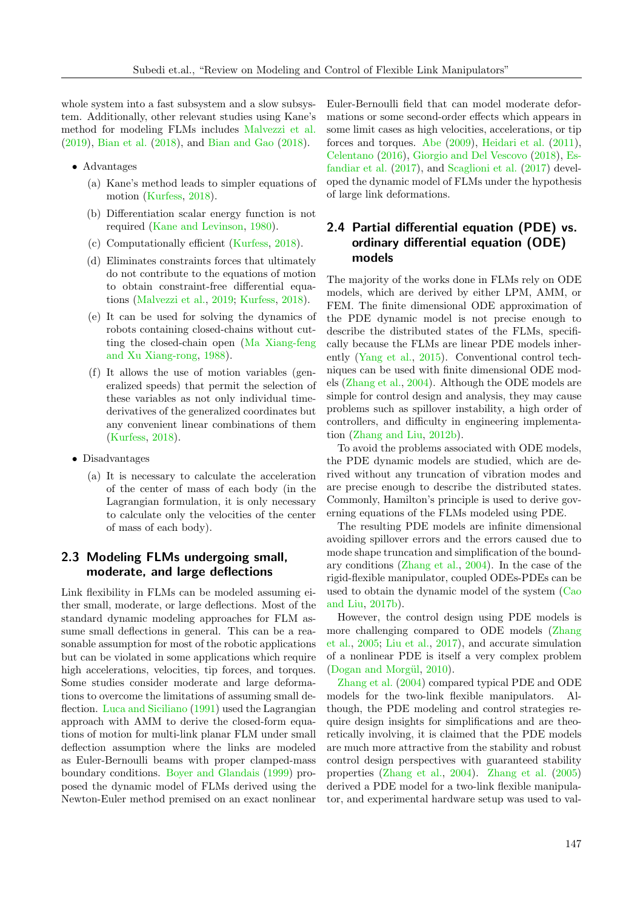whole system into a fast subsystem and a slow subsystem. Additionally, other relevant studies using Kane's method for modeling FLMs includes [Malvezzi et al.](#page-19-9) [\(2019\)](#page-19-9), [Bian et al.](#page-15-13) [\(2018\)](#page-15-13), and [Bian and Gao](#page-15-14) [\(2018\)](#page-15-14).

- Advantages
	- (a) Kane's method leads to simpler equations of motion [\(Kurfess,](#page-18-4) [2018\)](#page-18-4).
	- (b) Differentiation scalar energy function is not required [\(Kane and Levinson,](#page-17-12) [1980\)](#page-17-12).
	- (c) Computationally efficient [\(Kurfess,](#page-18-4) [2018\)](#page-18-4).
	- (d) Eliminates constraints forces that ultimately do not contribute to the equations of motion to obtain constraint-free differential equations [\(Malvezzi et al.,](#page-19-9) [2019;](#page-19-9) [Kurfess,](#page-18-4) [2018\)](#page-18-4).
	- (e) It can be used for solving the dynamics of robots containing closed-chains without cutting the closed-chain open [\(Ma Xiang-feng](#page-18-12) [and Xu Xiang-rong,](#page-18-12) [1988\)](#page-18-12).
	- (f) It allows the use of motion variables (generalized speeds) that permit the selection of these variables as not only individual timederivatives of the generalized coordinates but any convenient linear combinations of them [\(Kurfess,](#page-18-4) [2018\)](#page-18-4).
- Disadvantages
	- (a) It is necessary to calculate the acceleration of the center of mass of each body (in the Lagrangian formulation, it is only necessary to calculate only the velocities of the center of mass of each body).

## 2.3 Modeling FLMs undergoing small, moderate, and large deflections

Link flexibility in FLMs can be modeled assuming either small, moderate, or large deflections. Most of the standard dynamic modeling approaches for FLM assume small deflections in general. This can be a reasonable assumption for most of the robotic applications but can be violated in some applications which require high accelerations, velocities, tip forces, and torques. Some studies consider moderate and large deformations to overcome the limitations of assuming small deflection. [Luca and Siciliano](#page-18-3) [\(1991\)](#page-18-3) used the Lagrangian approach with AMM to derive the closed-form equations of motion for multi-link planar FLM under small deflection assumption where the links are modeled as Euler-Bernoulli beams with proper clamped-mass boundary conditions. [Boyer and Glandais](#page-15-9) [\(1999\)](#page-15-9) proposed the dynamic model of FLMs derived using the Newton-Euler method premised on an exact nonlinear

Euler-Bernoulli field that can model moderate deformations or some second-order effects which appears in some limit cases as high velocities, accelerations, or tip forces and torques. [Abe](#page-14-2) [\(2009\)](#page-14-2), [Heidari et al.](#page-17-8) [\(2011\)](#page-17-8), [Celentano](#page-16-12) [\(2016\)](#page-16-12), [Giorgio and Del Vescovo](#page-16-3) [\(2018\)](#page-16-3), [Es](#page-16-13)[fandiar et al.](#page-16-13) [\(2017\)](#page-16-13), and [Scaglioni et al.](#page-20-8) [\(2017\)](#page-20-8) developed the dynamic model of FLMs under the hypothesis of large link deformations.

## 2.4 Partial differential equation (PDE) vs. ordinary differential equation (ODE) models

The majority of the works done in FLMs rely on ODE models, which are derived by either LPM, AMM, or FEM. The finite dimensional ODE approximation of the PDE dynamic model is not precise enough to describe the distributed states of the FLMs, specifically because the FLMs are linear PDE models inherently [\(Yang et al.,](#page-21-11) [2015\)](#page-21-11). Conventional control techniques can be used with finite dimensional ODE models [\(Zhang et al.,](#page-22-5) [2004\)](#page-22-5). Although the ODE models are simple for control design and analysis, they may cause problems such as spillover instability, a high order of controllers, and difficulty in engineering implementation [\(Zhang and Liu,](#page-22-6) [2012b\)](#page-22-6).

To avoid the problems associated with ODE models, the PDE dynamic models are studied, which are derived without any truncation of vibration modes and are precise enough to describe the distributed states. Commonly, Hamilton's principle is used to derive governing equations of the FLMs modeled using PDE.

The resulting PDE models are infinite dimensional avoiding spillover errors and the errors caused due to mode shape truncation and simplification of the boundary conditions [\(Zhang et al.,](#page-22-5) [2004\)](#page-22-5). In the case of the rigid-flexible manipulator, coupled ODEs-PDEs can be used to obtain the dynamic model of the system [\(Cao](#page-15-15) [and Liu,](#page-15-15) [2017b\)](#page-15-15).

However, the control design using PDE models is more challenging compared to ODE models [\(Zhang](#page-22-7) [et al.,](#page-22-7) [2005;](#page-22-7) [Liu et al.,](#page-18-13) [2017\)](#page-18-13), and accurate simulation of a nonlinear PDE is itself a very complex problem (Dogan and Morgül, [2010\)](#page-16-10).

[Zhang et al.](#page-22-5) [\(2004\)](#page-22-5) compared typical PDE and ODE models for the two-link flexible manipulators. Although, the PDE modeling and control strategies require design insights for simplifications and are theoretically involving, it is claimed that the PDE models are much more attractive from the stability and robust control design perspectives with guaranteed stability properties [\(Zhang et al.,](#page-22-5) [2004\)](#page-22-5). [Zhang et al.](#page-22-7) [\(2005\)](#page-22-7) derived a PDE model for a two-link flexible manipulator, and experimental hardware setup was used to val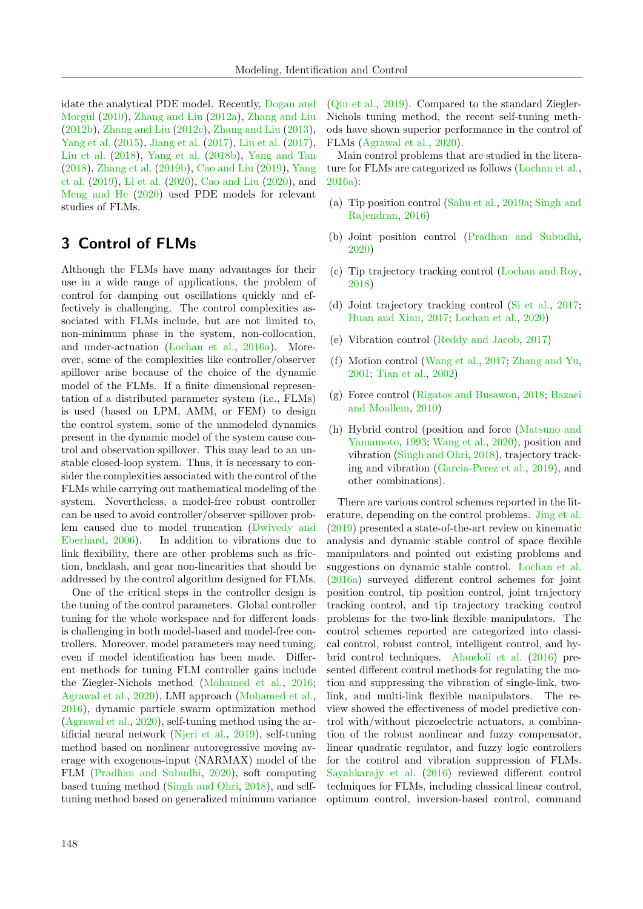idate the analytical PDE model. Recently, [Dogan and](#page-16-10) Morgül [\(2010\)](#page-16-10), [Zhang and Liu](#page-22-6) [\(2012a\)](#page-22-8), Zhang and Liu [\(2012b\)](#page-22-6), [Zhang and Liu](#page-22-9) [\(2012c\)](#page-22-9), [Zhang and Liu](#page-22-10) [\(2013\)](#page-22-10), [Yang et al.](#page-21-11) [\(2015\)](#page-21-11), [Jiang et al.](#page-17-16) [\(2017\)](#page-17-16), [Liu et al.](#page-18-13) [\(2017\)](#page-18-13), [Liu et al.](#page-18-14) [\(2018\)](#page-18-14), [Yang et al.](#page-21-8) [\(2018b\)](#page-21-8), [Yang and Tan](#page-21-9) [\(2018\)](#page-21-9), [Zhang et al.](#page-22-11) [\(2019b\)](#page-22-11), [Cao and Liu](#page-15-16) [\(2019\)](#page-15-16), [Yang](#page-22-3) [et al.](#page-22-3) [\(2019\)](#page-22-3), [Li et al.](#page-18-15) [\(2020\)](#page-18-15), [Cao and Liu](#page-16-1) [\(2020\)](#page-16-1), and [Meng and He](#page-19-8) [\(2020\)](#page-19-8) used PDE models for relevant studies of FLMs.

# <span id="page-7-0"></span>3 Control of FLMs

Although the FLMs have many advantages for their use in a wide range of applications, the problem of control for damping out oscillations quickly and effectively is challenging. The control complexities associated with FLMs include, but are not limited to, non-minimum phase in the system, non-collocation, and under-actuation [\(Lochan et al.,](#page-18-1) [2016a\)](#page-18-1). Moreover, some of the complexities like controller/observer spillover arise because of the choice of the dynamic model of the FLMs. If a finite dimensional representation of a distributed parameter system (i.e., FLMs) is used (based on LPM, AMM, or FEM) to design the control system, some of the unmodeled dynamics present in the dynamic model of the system cause control and observation spillover. This may lead to an unstable closed-loop system. Thus, it is necessary to consider the complexities associated with the control of the FLMs while carrying out mathematical modeling of the system. Nevertheless, a model-free robust controller can be used to avoid controller/observer spillover problem caused due to model truncation [\(Dwivedy and](#page-16-2) [Eberhard,](#page-16-2) [2006\)](#page-16-2). In addition to vibrations due to link flexibility, there are other problems such as friction, backlash, and gear non-linearities that should be addressed by the control algorithm designed for FLMs.

One of the critical steps in the controller design is the tuning of the control parameters. Global controller tuning for the whole workspace and for different loads is challenging in both model-based and model-free controllers. Moreover, model parameters may need tuning, even if model identification has been made. Different methods for tuning FLM controller gains include the Ziegler-Nichols method [\(Mohamed et al.,](#page-19-14) [2016;](#page-19-14) [Agrawal et al.,](#page-14-5) [2020\)](#page-14-5), LMI approach [\(Mohamed et al.,](#page-19-14) [2016\)](#page-19-14), dynamic particle swarm optimization method [\(Agrawal et al.,](#page-14-5) [2020\)](#page-14-5), self-tuning method using the artificial neural network [\(Njeri et al.,](#page-19-15) [2019\)](#page-19-15), self-tuning method based on nonlinear autoregressive moving average with exogenous-input (NARMAX) model of the FLM [\(Pradhan and Subudhi,](#page-19-11) [2020\)](#page-19-11), soft computing based tuning method [\(Singh and Ohri,](#page-20-12) [2018\)](#page-20-12), and selftuning method based on generalized minimum variance [\(Qiu et al.,](#page-19-7) [2019\)](#page-19-7). Compared to the standard Ziegler-Nichols tuning method, the recent self-tuning methods have shown superior performance in the control of FLMs [\(Agrawal et al.,](#page-14-5) [2020\)](#page-14-5).

Main control problems that are studied in the literature for FLMs are categorized as follows [\(Lochan et al.,](#page-18-1) [2016a\)](#page-18-1):

- (a) Tip position control [\(Sahu et al.,](#page-20-13) [2019a;](#page-20-13) [Singh and](#page-20-9) [Rajendran,](#page-20-9) [2016\)](#page-20-9)
- (b) Joint position control [\(Pradhan and Subudhi,](#page-19-11) [2020\)](#page-19-11)
- (c) Tip trajectory tracking control [\(Lochan and Roy,](#page-18-5) [2018\)](#page-18-5)
- (d) Joint trajectory tracking control [\(Si et al.,](#page-20-10) [2017;](#page-20-10) [Huan and Xian,](#page-17-17) [2017;](#page-17-17) [Lochan et al.,](#page-18-6) [2020\)](#page-18-6)
- (e) Vibration control [\(Reddy and Jacob,](#page-20-5) [2017\)](#page-20-5)
- (f) Motion control [\(Wang et al.,](#page-21-12) [2017;](#page-21-12) [Zhang and Yu,](#page-22-2) [2001;](#page-22-2) [Tian et al.,](#page-21-13) [2002\)](#page-21-13)
- (g) Force control [\(Rigatos and Busawon,](#page-20-14) [2018;](#page-20-14) [Bazaei](#page-15-17) [and Moallem,](#page-15-17) [2010\)](#page-15-17)
- (h) Hybrid control (position and force [\(Matsuno and](#page-19-16) [Yamamoto,](#page-19-16) [1993;](#page-19-16) [Wang et al.,](#page-21-14) [2020\)](#page-21-14), position and vibration [\(Singh and Ohri,](#page-20-12) [2018\)](#page-20-12), trajectory tracking and vibration [\(Garcia-Perez et al.,](#page-16-7) [2019\)](#page-16-7), and other combinations).

There are various control schemes reported in the literature, depending on the control problems. [Jing et al.](#page-17-1) [\(2019\)](#page-17-1) presented a state-of-the-art review on kinematic analysis and dynamic stable control of space flexible manipulators and pointed out existing problems and suggestions on dynamic stable control. [Lochan et al.](#page-18-1) [\(2016a\)](#page-18-1) surveyed different control schemes for joint position control, tip position control, joint trajectory tracking control, and tip trajectory tracking control problems for the two-link flexible manipulators. The control schemes reported are categorized into classical control, robust control, intelligent control, and hybrid control techniques. [Alandoli et al.](#page-14-0) [\(2016\)](#page-14-0) presented different control methods for regulating the motion and suppressing the vibration of single-link, twolink, and multi-link flexible manipulators. The review showed the effectiveness of model predictive control with/without piezoelectric actuators, a combination of the robust nonlinear and fuzzy compensator, linear quadratic regulator, and fuzzy logic controllers for the control and vibration suppression of FLMs. [Sayahkarajy et al.](#page-20-3) [\(2016\)](#page-20-3) reviewed different control techniques for FLMs, including classical linear control, optimum control, inversion-based control, command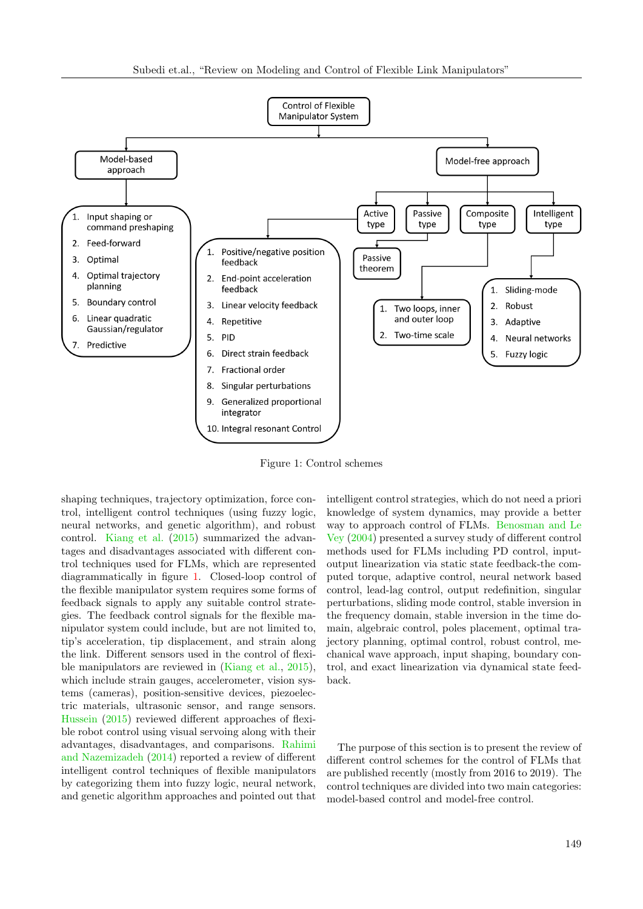

Figure 1: Control schemes

shaping techniques, trajectory optimization, force control, intelligent control techniques (using fuzzy logic, neural networks, and genetic algorithm), and robust control. [Kiang et al.](#page-17-0) [\(2015\)](#page-17-0) summarized the advantages and disadvantages associated with different control techniques used for FLMs, which are represented diagrammatically in figure [1.](#page-8-0) Closed-loop control of the flexible manipulator system requires some forms of feedback signals to apply any suitable control strategies. The feedback control signals for the flexible manipulator system could include, but are not limited to, tip's acceleration, tip displacement, and strain along the link. Different sensors used in the control of flexible manipulators are reviewed in [\(Kiang et al.,](#page-17-0) [2015\)](#page-17-0), which include strain gauges, accelerometer, vision systems (cameras), position-sensitive devices, piezoelectric materials, ultrasonic sensor, and range sensors. [Hussein](#page-17-2) [\(2015\)](#page-17-2) reviewed different approaches of flexible robot control using visual servoing along with their advantages, disadvantages, and comparisons. [Rahimi](#page-19-0) [and Nazemizadeh](#page-19-0) [\(2014\)](#page-19-0) reported a review of different intelligent control techniques of flexible manipulators by categorizing them into fuzzy logic, neural network, and genetic algorithm approaches and pointed out that

<span id="page-8-0"></span>intelligent control strategies, which do not need a priori knowledge of system dynamics, may provide a better way to approach control of FLMs. [Benosman and Le](#page-15-0) [Vey](#page-15-0) [\(2004\)](#page-15-0) presented a survey study of different control methods used for FLMs including PD control, inputoutput linearization via static state feedback-the computed torque, adaptive control, neural network based control, lead-lag control, output redefinition, singular perturbations, sliding mode control, stable inversion in the frequency domain, stable inversion in the time domain, algebraic control, poles placement, optimal trajectory planning, optimal control, robust control, mechanical wave approach, input shaping, boundary control, and exact linearization via dynamical state feedback.

The purpose of this section is to present the review of different control schemes for the control of FLMs that are published recently (mostly from 2016 to 2019). The control techniques are divided into two main categories: model-based control and model-free control.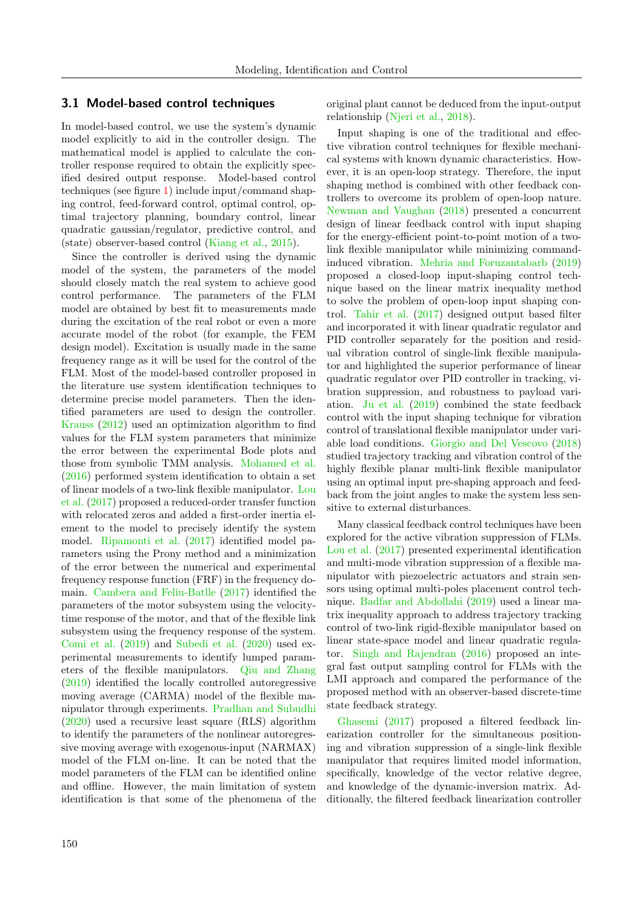## 3.1 Model-based control techniques

In model-based control, we use the system's dynamic model explicitly to aid in the controller design. The mathematical model is applied to calculate the controller response required to obtain the explicitly specified desired output response. Model-based control techniques (see figure [1\)](#page-8-0) include input/command shaping control, feed-forward control, optimal control, optimal trajectory planning, boundary control, linear quadratic gaussian/regulator, predictive control, and (state) observer-based control [\(Kiang et al.,](#page-17-0) [2015\)](#page-17-0).

Since the controller is derived using the dynamic model of the system, the parameters of the model should closely match the real system to achieve good control performance. The parameters of the FLM model are obtained by best fit to measurements made during the excitation of the real robot or even a more accurate model of the robot (for example, the FEM design model). Excitation is usually made in the same frequency range as it will be used for the control of the FLM. Most of the model-based controller proposed in the literature use system identification techniques to determine precise model parameters. Then the identified parameters are used to design the controller. [Krauss](#page-18-9) [\(2012\)](#page-18-9) used an optimization algorithm to find values for the FLM system parameters that minimize the error between the experimental Bode plots and those from symbolic TMM analysis. [Mohamed et al.](#page-19-14) [\(2016\)](#page-19-14) performed system identification to obtain a set of linear models of a two-link flexible manipulator. [Lou](#page-18-16) [et al.](#page-18-16) [\(2017\)](#page-18-16) proposed a reduced-order transfer function with relocated zeros and added a first-order inertia element to the model to precisely identify the system model. [Ripamonti et al.](#page-20-15) [\(2017\)](#page-20-15) identified model parameters using the Prony method and a minimization of the error between the numerical and experimental frequency response function (FRF) in the frequency domain. [Cambera and Feliu-Batlle](#page-15-1) [\(2017\)](#page-15-1) identified the parameters of the motor subsystem using the velocitytime response of the motor, and that of the flexible link subsystem using the frequency response of the system. [Comi et al.](#page-16-0) [\(2019\)](#page-16-0) and [Subedi et al.](#page-21-2) [\(2020\)](#page-21-2) used experimental measurements to identify lumped parameters of the flexible manipulators. [Qiu and Zhang](#page-19-10) [\(2019\)](#page-19-10) identified the locally controlled autoregressive moving average (CARMA) model of the flexible manipulator through experiments. [Pradhan and Subudhi](#page-19-11) [\(2020\)](#page-19-11) used a recursive least square (RLS) algorithm to identify the parameters of the nonlinear autoregressive moving average with exogenous-input (NARMAX) model of the FLM on-line. It can be noted that the model parameters of the FLM can be identified online and offline. However, the main limitation of system identification is that some of the phenomena of the original plant cannot be deduced from the input-output relationship [\(Njeri et al.,](#page-19-17) [2018\)](#page-19-17).

Input shaping is one of the traditional and effective vibration control techniques for flexible mechanical systems with known dynamic characteristics. However, it is an open-loop strategy. Therefore, the input shaping method is combined with other feedback controllers to overcome its problem of open-loop nature. [Newman and Vaughan](#page-19-18) [\(2018\)](#page-19-18) presented a concurrent design of linear feedback control with input shaping for the energy-efficient point-to-point motion of a twolink flexible manipulator while minimizing commandinduced vibration. [Mehria and Foruzantabarb](#page-19-12) [\(2019\)](#page-19-12) proposed a closed-loop input-shaping control technique based on the linear matrix inequality method to solve the problem of open-loop input shaping control. [Tahir et al.](#page-21-7) [\(2017\)](#page-21-7) designed output based filter and incorporated it with linear quadratic regulator and PID controller separately for the position and residual vibration control of single-link flexible manipulator and highlighted the superior performance of linear quadratic regulator over PID controller in tracking, vibration suppression, and robustness to payload variation. [Ju et al.](#page-17-18) [\(2019\)](#page-17-18) combined the state feedback control with the input shaping technique for vibration control of translational flexible manipulator under variable load conditions. [Giorgio and Del Vescovo](#page-16-3) [\(2018\)](#page-16-3) studied trajectory tracking and vibration control of the highly flexible planar multi-link flexible manipulator using an optimal input pre-shaping approach and feedback from the joint angles to make the system less sensitive to external disturbances.

Many classical feedback control techniques have been explored for the active vibration suppression of FLMs. [Lou et al.](#page-18-16) [\(2017\)](#page-18-16) presented experimental identification and multi-mode vibration suppression of a flexible manipulator with piezoelectric actuators and strain sensors using optimal multi-poles placement control technique. [Badfar and Abdollahi](#page-15-6) [\(2019\)](#page-15-6) used a linear matrix inequality approach to address trajectory tracking control of two-link rigid-flexible manipulator based on linear state-space model and linear quadratic regulator. [Singh and Rajendran](#page-20-9) [\(2016\)](#page-20-9) proposed an integral fast output sampling control for FLMs with the LMI approach and compared the performance of the proposed method with an observer-based discrete-time state feedback strategy.

[Ghasemi](#page-16-14) [\(2017\)](#page-16-14) proposed a filtered feedback linearization controller for the simultaneous positioning and vibration suppression of a single-link flexible manipulator that requires limited model information, specifically, knowledge of the vector relative degree, and knowledge of the dynamic-inversion matrix. Additionally, the filtered feedback linearization controller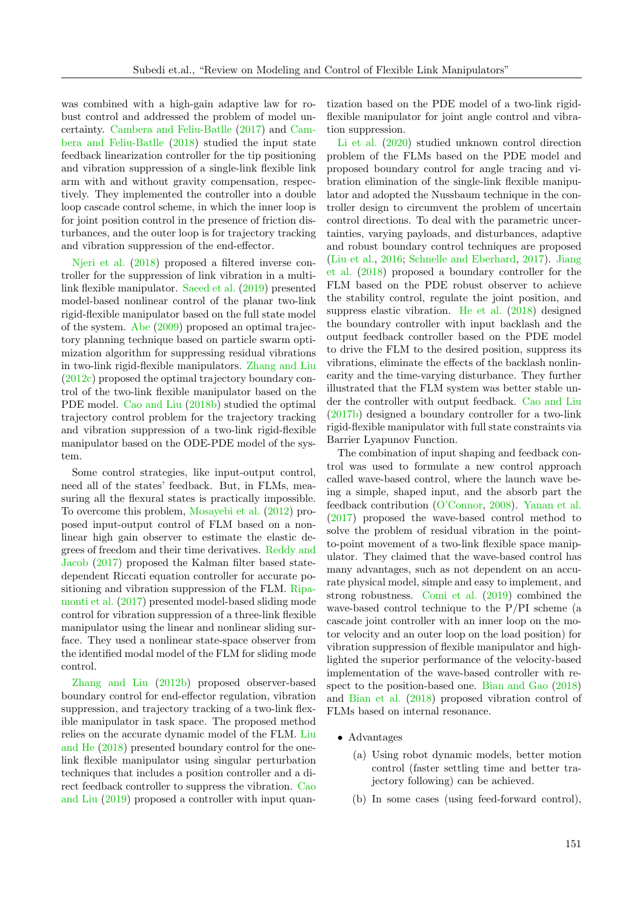was combined with a high-gain adaptive law for robust control and addressed the problem of model uncertainty. [Cambera and Feliu-Batlle](#page-15-1) [\(2017\)](#page-15-1) and [Cam](#page-15-2)[bera and Feliu-Batlle](#page-15-2) [\(2018\)](#page-15-2) studied the input state feedback linearization controller for the tip positioning and vibration suppression of a single-link flexible link arm with and without gravity compensation, respectively. They implemented the controller into a double loop cascade control scheme, in which the inner loop is for joint position control in the presence of friction disturbances, and the outer loop is for trajectory tracking and vibration suppression of the end-effector.

[Njeri et al.](#page-19-17) [\(2018\)](#page-19-17) proposed a filtered inverse controller for the suppression of link vibration in a multilink flexible manipulator. [Saeed et al.](#page-20-4) [\(2019\)](#page-20-4) presented model-based nonlinear control of the planar two-link rigid-flexible manipulator based on the full state model of the system. [Abe](#page-14-2) [\(2009\)](#page-14-2) proposed an optimal trajectory planning technique based on particle swarm optimization algorithm for suppressing residual vibrations in two-link rigid-flexible manipulators. [Zhang and Liu](#page-22-9) [\(2012c\)](#page-22-9) proposed the optimal trajectory boundary control of the two-link flexible manipulator based on the PDE model. [Cao and Liu](#page-15-18) [\(2018b\)](#page-15-18) studied the optimal trajectory control problem for the trajectory tracking and vibration suppression of a two-link rigid-flexible manipulator based on the ODE-PDE model of the system.

Some control strategies, like input-output control, need all of the states' feedback. But, in FLMs, measuring all the flexural states is practically impossible. To overcome this problem, [Mosayebi et al.](#page-19-19) [\(2012\)](#page-19-19) proposed input-output control of FLM based on a nonlinear high gain observer to estimate the elastic degrees of freedom and their time derivatives. [Reddy and](#page-20-5) [Jacob](#page-20-5) [\(2017\)](#page-20-5) proposed the Kalman filter based statedependent Riccati equation controller for accurate positioning and vibration suppression of the FLM. [Ripa](#page-20-15)[monti et al.](#page-20-15) [\(2017\)](#page-20-15) presented model-based sliding mode control for vibration suppression of a three-link flexible manipulator using the linear and nonlinear sliding surface. They used a nonlinear state-space observer from the identified modal model of the FLM for sliding mode control.

[Zhang and Liu](#page-22-6) [\(2012b\)](#page-22-6) proposed observer-based boundary control for end-effector regulation, vibration suppression, and trajectory tracking of a two-link flexible manipulator in task space. The proposed method relies on the accurate dynamic model of the FLM. [Liu](#page-18-17) [and He](#page-18-17) [\(2018\)](#page-18-17) presented boundary control for the onelink flexible manipulator using singular perturbation techniques that includes a position controller and a direct feedback controller to suppress the vibration. [Cao](#page-15-16) [and Liu](#page-15-16) [\(2019\)](#page-15-16) proposed a controller with input quantization based on the PDE model of a two-link rigidflexible manipulator for joint angle control and vibration suppression.

[Li et al.](#page-18-15) [\(2020\)](#page-18-15) studied unknown control direction problem of the FLMs based on the PDE model and proposed boundary control for angle tracing and vibration elimination of the single-link flexible manipulator and adopted the Nussbaum technique in the controller design to circumvent the problem of uncertain control directions. To deal with the parametric uncertainties, varying payloads, and disturbances, adaptive and robust boundary control techniques are proposed [\(Liu et al.,](#page-18-18) [2016;](#page-18-18) [Schnelle and Eberhard,](#page-20-16) [2017\)](#page-20-16). [Jiang](#page-17-19) [et al.](#page-17-19) [\(2018\)](#page-17-19) proposed a boundary controller for the FLM based on the PDE robust observer to achieve the stability control, regulate the joint position, and suppress elastic vibration. [He et al.](#page-16-15) [\(2018\)](#page-16-15) designed the boundary controller with input backlash and the output feedback controller based on the PDE model to drive the FLM to the desired position, suppress its vibrations, eliminate the effects of the backlash nonlinearity and the time-varying disturbance. They further illustrated that the FLM system was better stable under the controller with output feedback. [Cao and Liu](#page-15-15) [\(2017b\)](#page-15-15) designed a boundary controller for a two-link rigid-flexible manipulator with full state constraints via Barrier Lyapunov Function.

The combination of input shaping and feedback control was used to formulate a new control approach called wave-based control, where the launch wave being a simple, shaped input, and the absorb part the feedback contribution [\(O'Connor,](#page-19-20) [2008\)](#page-19-20). [Yanan et al.](#page-21-0) [\(2017\)](#page-21-0) proposed the wave-based control method to solve the problem of residual vibration in the pointto-point movement of a two-link flexible space manipulator. They claimed that the wave-based control has many advantages, such as not dependent on an accurate physical model, simple and easy to implement, and strong robustness. [Comi et al.](#page-16-0) [\(2019\)](#page-16-0) combined the wave-based control technique to the P/PI scheme (a cascade joint controller with an inner loop on the motor velocity and an outer loop on the load position) for vibration suppression of flexible manipulator and highlighted the superior performance of the velocity-based implementation of the wave-based controller with respect to the position-based one. [Bian and Gao](#page-15-14) [\(2018\)](#page-15-14) and [Bian et al.](#page-15-13) [\(2018\)](#page-15-13) proposed vibration control of FLMs based on internal resonance.

- Advantages
	- (a) Using robot dynamic models, better motion control (faster settling time and better trajectory following) can be achieved.
	- (b) In some cases (using feed-forward control),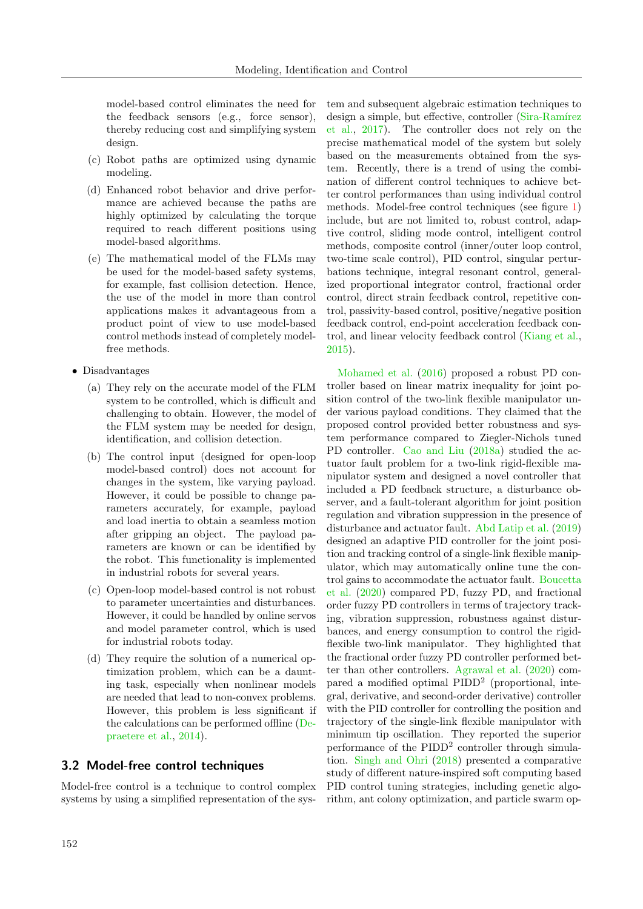model-based control eliminates the need for the feedback sensors (e.g., force sensor), thereby reducing cost and simplifying system design.

- (c) Robot paths are optimized using dynamic modeling.
- (d) Enhanced robot behavior and drive performance are achieved because the paths are highly optimized by calculating the torque required to reach different positions using model-based algorithms.
- (e) The mathematical model of the FLMs may be used for the model-based safety systems, for example, fast collision detection. Hence, the use of the model in more than control applications makes it advantageous from a product point of view to use model-based control methods instead of completely modelfree methods.
- Disadvantages
	- (a) They rely on the accurate model of the FLM system to be controlled, which is difficult and challenging to obtain. However, the model of the FLM system may be needed for design, identification, and collision detection.
	- (b) The control input (designed for open-loop model-based control) does not account for changes in the system, like varying payload. However, it could be possible to change parameters accurately, for example, payload and load inertia to obtain a seamless motion after gripping an object. The payload parameters are known or can be identified by the robot. This functionality is implemented in industrial robots for several years.
	- (c) Open-loop model-based control is not robust to parameter uncertainties and disturbances. However, it could be handled by online servos and model parameter control, which is used for industrial robots today.
	- (d) They require the solution of a numerical optimization problem, which can be a daunting task, especially when nonlinear models are needed that lead to non-convex problems. However, this problem is less significant if the calculations can be performed offline [\(De](#page-16-16)[praetere et al.,](#page-16-16) [2014\)](#page-16-16).

## 3.2 Model-free control techniques

Model-free control is a technique to control complex systems by using a simplified representation of the system and subsequent algebraic estimation techniques to design a simple, but effective, controller (Sira-Ramírez) [et al.,](#page-20-17) [2017\)](#page-20-17). The controller does not rely on the precise mathematical model of the system but solely based on the measurements obtained from the system. Recently, there is a trend of using the combination of different control techniques to achieve better control performances than using individual control methods. Model-free control techniques (see figure [1\)](#page-8-0) include, but are not limited to, robust control, adaptive control, sliding mode control, intelligent control methods, composite control (inner/outer loop control, two-time scale control), PID control, singular perturbations technique, integral resonant control, generalized proportional integrator control, fractional order control, direct strain feedback control, repetitive control, passivity-based control, positive/negative position feedback control, end-point acceleration feedback control, and linear velocity feedback control [\(Kiang et al.,](#page-17-0) [2015\)](#page-17-0).

[Mohamed et al.](#page-19-14) [\(2016\)](#page-19-14) proposed a robust PD controller based on linear matrix inequality for joint position control of the two-link flexible manipulator under various payload conditions. They claimed that the proposed control provided better robustness and system performance compared to Ziegler-Nichols tuned PD controller. [Cao and Liu](#page-15-19) [\(2018a\)](#page-15-19) studied the actuator fault problem for a two-link rigid-flexible manipulator system and designed a novel controller that included a PD feedback structure, a disturbance observer, and a fault-tolerant algorithm for joint position regulation and vibration suppression in the presence of disturbance and actuator fault. [Abd Latip et al.](#page-14-6) [\(2019\)](#page-14-6) designed an adaptive PID controller for the joint position and tracking control of a single-link flexible manipulator, which may automatically online tune the control gains to accommodate the actuator fault. [Boucetta](#page-15-11) [et al.](#page-15-11) [\(2020\)](#page-15-11) compared PD, fuzzy PD, and fractional order fuzzy PD controllers in terms of trajectory tracking, vibration suppression, robustness against disturbances, and energy consumption to control the rigidflexible two-link manipulator. They highlighted that the fractional order fuzzy PD controller performed better than other controllers. [Agrawal et al.](#page-14-5) [\(2020\)](#page-14-5) compared a modified optimal PIDD<sup>2</sup> (proportional, integral, derivative, and second-order derivative) controller with the PID controller for controlling the position and trajectory of the single-link flexible manipulator with minimum tip oscillation. They reported the superior performance of the PIDD<sup>2</sup> controller through simulation. [Singh and Ohri](#page-20-12) [\(2018\)](#page-20-12) presented a comparative study of different nature-inspired soft computing based PID control tuning strategies, including genetic algorithm, ant colony optimization, and particle swarm op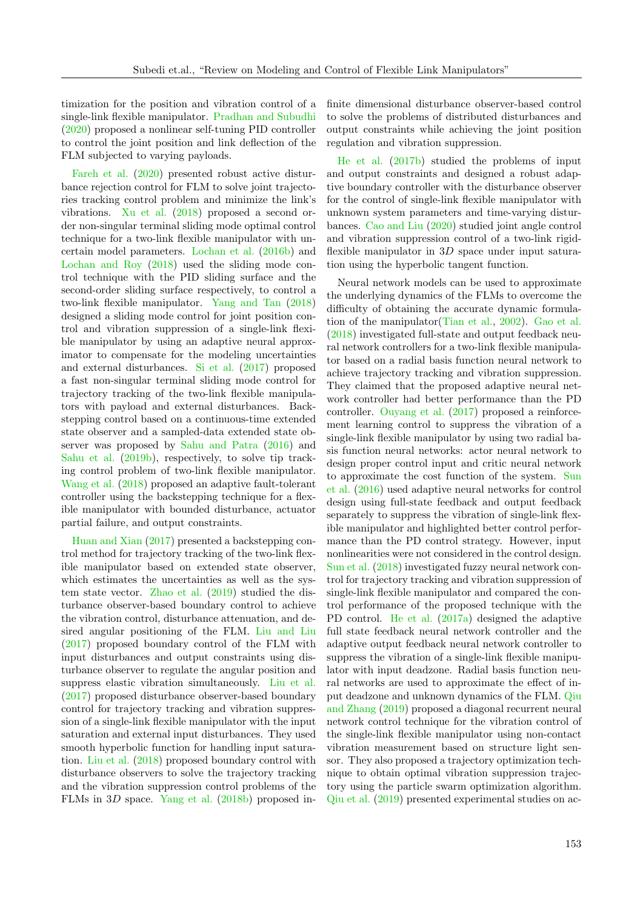timization for the position and vibration control of a single-link flexible manipulator. [Pradhan and Subudhi](#page-19-11) [\(2020\)](#page-19-11) proposed a nonlinear self-tuning PID controller to control the joint position and link deflection of the FLM subjected to varying payloads.

[Fareh et al.](#page-16-17) [\(2020\)](#page-16-17) presented robust active disturbance rejection control for FLM to solve joint trajectories tracking control problem and minimize the link's vibrations. [Xu et al.](#page-21-15) [\(2018\)](#page-21-15) proposed a second order non-singular terminal sliding mode optimal control technique for a two-link flexible manipulator with uncertain model parameters. [Lochan et al.](#page-18-2) [\(2016b\)](#page-18-2) and [Lochan and Roy](#page-18-5) [\(2018\)](#page-18-5) used the sliding mode control technique with the PID sliding surface and the second-order sliding surface respectively, to control a two-link flexible manipulator. [Yang and Tan](#page-21-9) [\(2018\)](#page-21-9) designed a sliding mode control for joint position control and vibration suppression of a single-link flexible manipulator by using an adaptive neural approximator to compensate for the modeling uncertainties and external disturbances. [Si et al.](#page-20-10) [\(2017\)](#page-20-10) proposed a fast non-singular terminal sliding mode control for trajectory tracking of the two-link flexible manipulators with payload and external disturbances. Backstepping control based on a continuous-time extended state observer and a sampled-data extended state observer was proposed by [Sahu and Patra](#page-20-7) [\(2016\)](#page-20-7) and [Sahu et al.](#page-20-18) [\(2019b\)](#page-20-18), respectively, to solve tip tracking control problem of two-link flexible manipulator. [Wang et al.](#page-21-16) [\(2018\)](#page-21-16) proposed an adaptive fault-tolerant controller using the backstepping technique for a flexible manipulator with bounded disturbance, actuator partial failure, and output constraints.

[Huan and Xian](#page-17-17) [\(2017\)](#page-17-17) presented a backstepping control method for trajectory tracking of the two-link flexible manipulator based on extended state observer, which estimates the uncertainties as well as the system state vector. [Zhao et al.](#page-22-12) [\(2019\)](#page-22-12) studied the disturbance observer-based boundary control to achieve the vibration control, disturbance attenuation, and desired angular positioning of the FLM. [Liu and Liu](#page-18-19) [\(2017\)](#page-18-19) proposed boundary control of the FLM with input disturbances and output constraints using disturbance observer to regulate the angular position and suppress elastic vibration simultaneously. [Liu et al.](#page-18-13) [\(2017\)](#page-18-13) proposed disturbance observer-based boundary control for trajectory tracking and vibration suppression of a single-link flexible manipulator with the input saturation and external input disturbances. They used smooth hyperbolic function for handling input saturation. [Liu et al.](#page-18-14) [\(2018\)](#page-18-14) proposed boundary control with disturbance observers to solve the trajectory tracking and the vibration suppression control problems of the FLMs in 3D space. [Yang et al.](#page-21-8) [\(2018b\)](#page-21-8) proposed infinite dimensional disturbance observer-based control to solve the problems of distributed disturbances and output constraints while achieving the joint position regulation and vibration suppression.

[He et al.](#page-16-18) [\(2017b\)](#page-16-18) studied the problems of input and output constraints and designed a robust adaptive boundary controller with the disturbance observer for the control of single-link flexible manipulator with unknown system parameters and time-varying disturbances. [Cao and Liu](#page-16-1) [\(2020\)](#page-16-1) studied joint angle control and vibration suppression control of a two-link rigidflexible manipulator in 3D space under input saturation using the hyperbolic tangent function.

Neural network models can be used to approximate the underlying dynamics of the FLMs to overcome the difficulty of obtaining the accurate dynamic formulation of the manipulator[\(Tian et al.,](#page-21-13) [2002\)](#page-21-13). [Gao et al.](#page-16-6) [\(2018\)](#page-16-6) investigated full-state and output feedback neural network controllers for a two-link flexible manipulator based on a radial basis function neural network to achieve trajectory tracking and vibration suppression. They claimed that the proposed adaptive neural network controller had better performance than the PD controller. [Ouyang et al.](#page-19-5) [\(2017\)](#page-19-5) proposed a reinforcement learning control to suppress the vibration of a single-link flexible manipulator by using two radial basis function neural networks: actor neural network to design proper control input and critic neural network to approximate the cost function of the system. [Sun](#page-21-4) [et al.](#page-21-4) [\(2016\)](#page-21-4) used adaptive neural networks for control design using full-state feedback and output feedback separately to suppress the vibration of single-link flexible manipulator and highlighted better control performance than the PD control strategy. However, input nonlinearities were not considered in the control design. [Sun et al.](#page-21-10) [\(2018\)](#page-21-10) investigated fuzzy neural network control for trajectory tracking and vibration suppression of single-link flexible manipulator and compared the control performance of the proposed technique with the PD control. [He et al.](#page-16-4) [\(2017a\)](#page-16-4) designed the adaptive full state feedback neural network controller and the adaptive output feedback neural network controller to suppress the vibration of a single-link flexible manipulator with input deadzone. Radial basis function neural networks are used to approximate the effect of input deadzone and unknown dynamics of the FLM. [Qiu](#page-19-10) [and Zhang](#page-19-10) [\(2019\)](#page-19-10) proposed a diagonal recurrent neural network control technique for the vibration control of the single-link flexible manipulator using non-contact vibration measurement based on structure light sensor. They also proposed a trajectory optimization technique to obtain optimal vibration suppression trajectory using the particle swarm optimization algorithm. [Qiu et al.](#page-19-7) [\(2019\)](#page-19-7) presented experimental studies on ac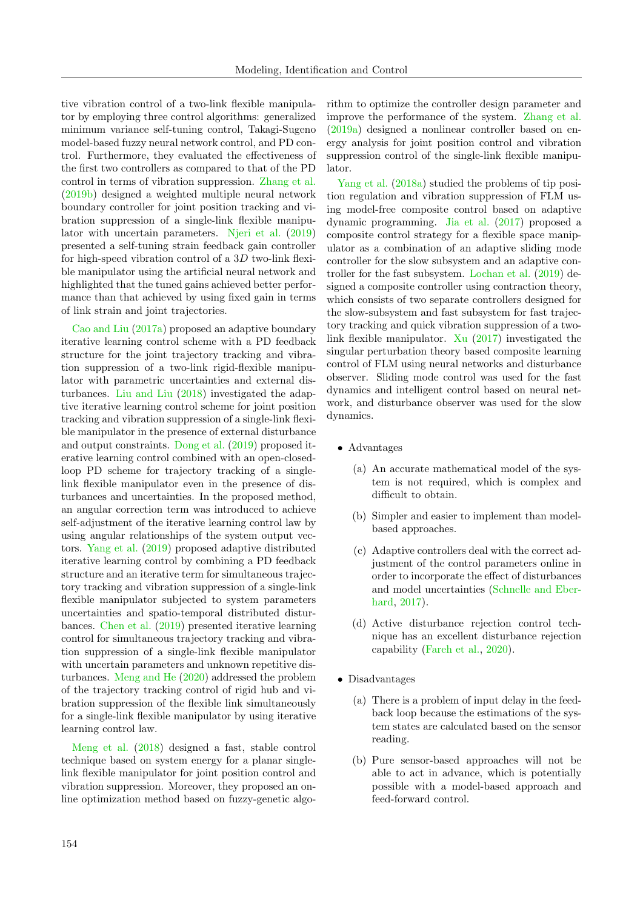tive vibration control of a two-link flexible manipulator by employing three control algorithms: generalized minimum variance self-tuning control, Takagi-Sugeno model-based fuzzy neural network control, and PD control. Furthermore, they evaluated the effectiveness of the first two controllers as compared to that of the PD control in terms of vibration suppression. [Zhang et al.](#page-22-11) [\(2019b\)](#page-22-11) designed a weighted multiple neural network boundary controller for joint position tracking and vibration suppression of a single-link flexible manipulator with uncertain parameters. [Njeri et al.](#page-19-15) [\(2019\)](#page-19-15) presented a self-tuning strain feedback gain controller for high-speed vibration control of a 3D two-link flexible manipulator using the artificial neural network and highlighted that the tuned gains achieved better performance than that achieved by using fixed gain in terms of link strain and joint trajectories.

[Cao and Liu](#page-15-20) [\(2017a\)](#page-15-20) proposed an adaptive boundary iterative learning control scheme with a PD feedback structure for the joint trajectory tracking and vibration suppression of a two-link rigid-flexible manipulator with parametric uncertainties and external disturbances. [Liu and Liu](#page-18-20) [\(2018\)](#page-18-20) investigated the adaptive iterative learning control scheme for joint position tracking and vibration suppression of a single-link flexible manipulator in the presence of external disturbance and output constraints. [Dong et al.](#page-16-11) [\(2019\)](#page-16-11) proposed iterative learning control combined with an open-closedloop PD scheme for trajectory tracking of a singlelink flexible manipulator even in the presence of disturbances and uncertainties. In the proposed method, an angular correction term was introduced to achieve self-adjustment of the iterative learning control law by using angular relationships of the system output vectors. [Yang et al.](#page-22-3) [\(2019\)](#page-22-3) proposed adaptive distributed iterative learning control by combining a PD feedback structure and an iterative term for simultaneous trajectory tracking and vibration suppression of a single-link flexible manipulator subjected to system parameters uncertainties and spatio-temporal distributed disturbances. [Chen et al.](#page-16-19) [\(2019\)](#page-16-19) presented iterative learning control for simultaneous trajectory tracking and vibration suppression of a single-link flexible manipulator with uncertain parameters and unknown repetitive disturbances. [Meng and He](#page-19-8) [\(2020\)](#page-19-8) addressed the problem of the trajectory tracking control of rigid hub and vibration suppression of the flexible link simultaneously for a single-link flexible manipulator by using iterative learning control law.

[Meng et al.](#page-19-6) [\(2018\)](#page-19-6) designed a fast, stable control technique based on system energy for a planar singlelink flexible manipulator for joint position control and vibration suppression. Moreover, they proposed an online optimization method based on fuzzy-genetic algorithm to optimize the controller design parameter and improve the performance of the system. [Zhang et al.](#page-22-1) [\(2019a\)](#page-22-1) designed a nonlinear controller based on energy analysis for joint position control and vibration suppression control of the single-link flexible manipulator.

[Yang et al.](#page-21-17) [\(2018a\)](#page-21-17) studied the problems of tip position regulation and vibration suppression of FLM using model-free composite control based on adaptive dynamic programming. [Jia et al.](#page-17-15) [\(2017\)](#page-17-15) proposed a composite control strategy for a flexible space manipulator as a combination of an adaptive sliding mode controller for the slow subsystem and an adaptive controller for the fast subsystem. [Lochan et al.](#page-18-10) [\(2019\)](#page-18-10) designed a composite controller using contraction theory, which consists of two separate controllers designed for the slow-subsystem and fast subsystem for fast trajectory tracking and quick vibration suppression of a twolink flexible manipulator. [Xu](#page-21-18) [\(2017\)](#page-21-18) investigated the singular perturbation theory based composite learning control of FLM using neural networks and disturbance observer. Sliding mode control was used for the fast dynamics and intelligent control based on neural network, and disturbance observer was used for the slow dynamics.

- Advantages
	- (a) An accurate mathematical model of the system is not required, which is complex and difficult to obtain.
	- (b) Simpler and easier to implement than modelbased approaches.
	- (c) Adaptive controllers deal with the correct adjustment of the control parameters online in order to incorporate the effect of disturbances and model uncertainties [\(Schnelle and Eber](#page-20-16)[hard,](#page-20-16) [2017\)](#page-20-16).
	- (d) Active disturbance rejection control technique has an excellent disturbance rejection capability [\(Fareh et al.,](#page-16-17) [2020\)](#page-16-17).
- Disadvantages
	- (a) There is a problem of input delay in the feedback loop because the estimations of the system states are calculated based on the sensor reading.
	- (b) Pure sensor-based approaches will not be able to act in advance, which is potentially possible with a model-based approach and feed-forward control.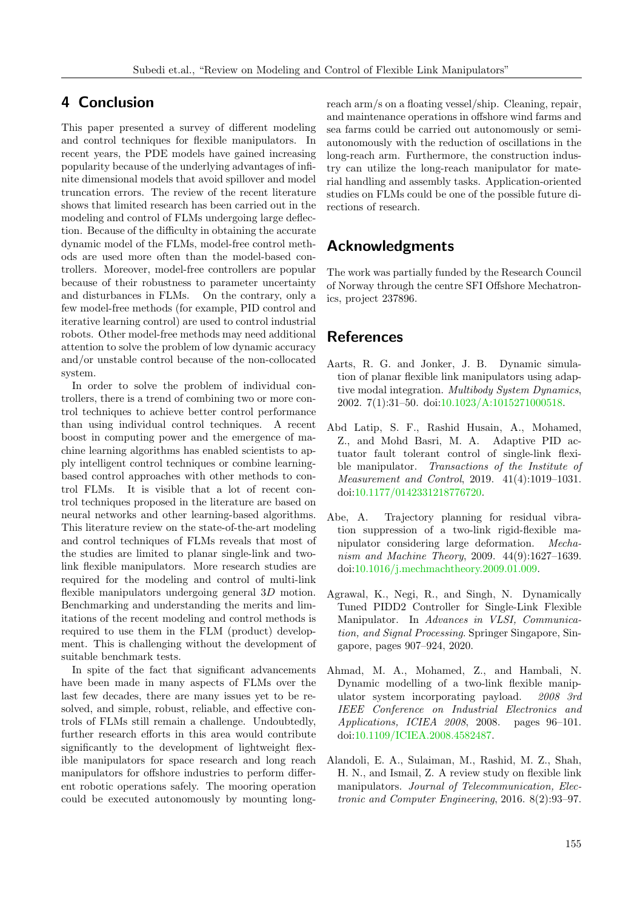# <span id="page-14-1"></span>4 Conclusion

This paper presented a survey of different modeling and control techniques for flexible manipulators. In recent years, the PDE models have gained increasing popularity because of the underlying advantages of infinite dimensional models that avoid spillover and model truncation errors. The review of the recent literature shows that limited research has been carried out in the modeling and control of FLMs undergoing large deflection. Because of the difficulty in obtaining the accurate dynamic model of the FLMs, model-free control methods are used more often than the model-based controllers. Moreover, model-free controllers are popular because of their robustness to parameter uncertainty and disturbances in FLMs. On the contrary, only a few model-free methods (for example, PID control and iterative learning control) are used to control industrial robots. Other model-free methods may need additional attention to solve the problem of low dynamic accuracy and/or unstable control because of the non-collocated system.

In order to solve the problem of individual controllers, there is a trend of combining two or more control techniques to achieve better control performance than using individual control techniques. A recent boost in computing power and the emergence of machine learning algorithms has enabled scientists to apply intelligent control techniques or combine learningbased control approaches with other methods to control FLMs. It is visible that a lot of recent control techniques proposed in the literature are based on neural networks and other learning-based algorithms. This literature review on the state-of-the-art modeling and control techniques of FLMs reveals that most of the studies are limited to planar single-link and twolink flexible manipulators. More research studies are required for the modeling and control of multi-link flexible manipulators undergoing general 3D motion. Benchmarking and understanding the merits and limitations of the recent modeling and control methods is required to use them in the FLM (product) development. This is challenging without the development of suitable benchmark tests.

In spite of the fact that significant advancements have been made in many aspects of FLMs over the last few decades, there are many issues yet to be resolved, and simple, robust, reliable, and effective controls of FLMs still remain a challenge. Undoubtedly, further research efforts in this area would contribute significantly to the development of lightweight flexible manipulators for space research and long reach manipulators for offshore industries to perform different robotic operations safely. The mooring operation could be executed autonomously by mounting longreach arm/s on a floating vessel/ship. Cleaning, repair, and maintenance operations in offshore wind farms and sea farms could be carried out autonomously or semiautonomously with the reduction of oscillations in the long-reach arm. Furthermore, the construction industry can utilize the long-reach manipulator for material handling and assembly tasks. Application-oriented studies on FLMs could be one of the possible future directions of research.

# Acknowledgments

The work was partially funded by the Research Council of Norway through the centre SFI Offshore Mechatronics, project 237896.

# **References**

- <span id="page-14-3"></span>Aarts, R. G. and Jonker, J. B. Dynamic simulation of planar flexible link manipulators using adaptive modal integration. Multibody System Dynamics, 2002. 7(1):31–50. doi[:10.1023/A:1015271000518.](http://dx.doi.org/10.1023/A:1015271000518)
- <span id="page-14-6"></span>Abd Latip, S. F., Rashid Husain, A., Mohamed, Z., and Mohd Basri, M. A. Adaptive PID actuator fault tolerant control of single-link flexible manipulator. Transactions of the Institute of Measurement and Control, 2019. 41(4):1019–1031. doi[:10.1177/0142331218776720.](http://dx.doi.org/10.1177/0142331218776720)
- <span id="page-14-2"></span>Abe, A. Trajectory planning for residual vibration suppression of a two-link rigid-flexible manipulator considering large deformation. Mechanism and Machine Theory, 2009. 44(9):1627–1639. doi[:10.1016/j.mechmachtheory.2009.01.009.](http://dx.doi.org/10.1016/j.mechmachtheory.2009.01.009)
- <span id="page-14-5"></span>Agrawal, K., Negi, R., and Singh, N. Dynamically Tuned PIDD2 Controller for Single-Link Flexible Manipulator. In Advances in VLSI, Communication, and Signal Processing. Springer Singapore, Singapore, pages 907–924, 2020.
- <span id="page-14-4"></span>Ahmad, M. A., Mohamed, Z., and Hambali, N. Dynamic modelling of a two-link flexible manipulator system incorporating payload. 2008 3rd IEEE Conference on Industrial Electronics and Applications, ICIEA 2008, 2008. pages 96–101. doi[:10.1109/ICIEA.2008.4582487.](http://dx.doi.org/10.1109/ICIEA.2008.4582487)
- <span id="page-14-0"></span>Alandoli, E. A., Sulaiman, M., Rashid, M. Z., Shah, H. N., and Ismail, Z. A review study on flexible link manipulators. Journal of Telecommunication, Electronic and Computer Engineering, 2016. 8(2):93–97.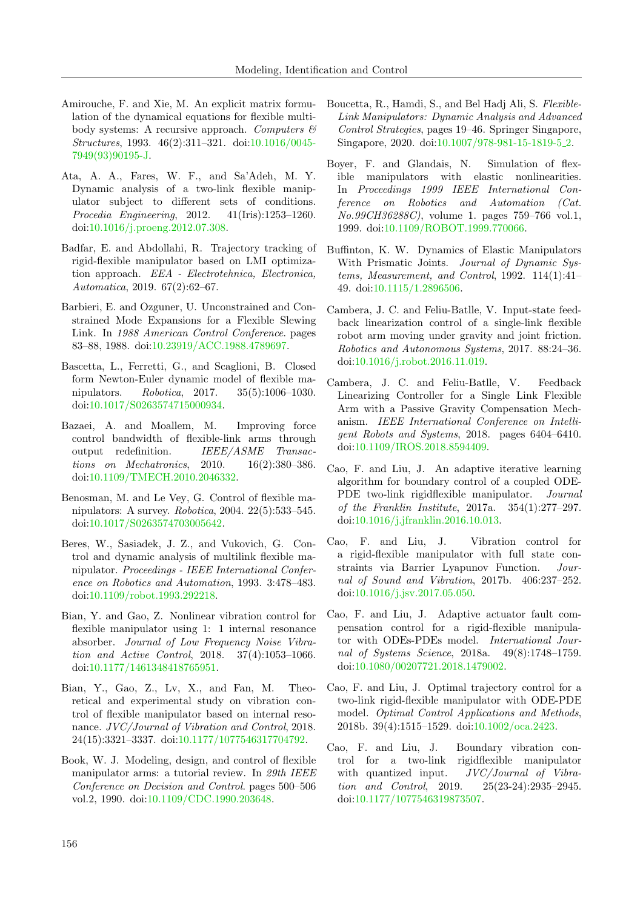- <span id="page-15-8"></span>Amirouche, F. and Xie, M. An explicit matrix formulation of the dynamical equations for flexible multibody systems: A recursive approach. Computers  $\mathcal B$ Structures, 1993. 46(2):311–321. doi[:10.1016/0045-](http://dx.doi.org/10.1016/0045-7949(93)90195-J) [7949\(93\)90195-J.](http://dx.doi.org/10.1016/0045-7949(93)90195-J)
- <span id="page-15-3"></span>Ata, A. A., Fares, W. F., and Sa'Adeh, M. Y. Dynamic analysis of a two-link flexible manipulator subject to different sets of conditions. Procedia Engineering, 2012. 41(Iris):1253–1260. doi[:10.1016/j.proeng.2012.07.308.](http://dx.doi.org/10.1016/j.proeng.2012.07.308)
- <span id="page-15-6"></span>Badfar, E. and Abdollahi, R. Trajectory tracking of rigid-flexible manipulator based on LMI optimization approach. EEA - Electrotehnica, Electronica, Automatica, 2019. 67(2):62–67.
- <span id="page-15-4"></span>Barbieri, E. and Ozguner, U. Unconstrained and Constrained Mode Expansions for a Flexible Slewing Link. In 1988 American Control Conference. pages 83–88, 1988. doi[:10.23919/ACC.1988.4789697.](http://dx.doi.org/10.23919/ACC.1988.4789697)
- <span id="page-15-10"></span>Bascetta, L., Ferretti, G., and Scaglioni, B. Closed form Newton-Euler dynamic model of flexible manipulators. Robotica, 2017. 35(5):1006–1030. doi[:10.1017/S0263574715000934.](http://dx.doi.org/10.1017/S0263574715000934)
- <span id="page-15-17"></span>Bazaei, A. and Moallem, M. Improving force control bandwidth of flexible-link arms through output redefinition. IEEE/ASME Transactions on Mechatronics, 2010. 16(2):380–386. doi[:10.1109/TMECH.2010.2046332.](http://dx.doi.org/10.1109/TMECH.2010.2046332)
- <span id="page-15-0"></span>Benosman, M. and Le Vey, G. Control of flexible manipulators: A survey. Robotica, 2004. 22(5):533–545. doi[:10.1017/S0263574703005642.](http://dx.doi.org/10.1017/S0263574703005642)
- <span id="page-15-7"></span>Beres, W., Sasiadek, J. Z., and Vukovich, G. Control and dynamic analysis of multilink flexible manipulator. Proceedings - IEEE International Conference on Robotics and Automation, 1993. 3:478–483. doi[:10.1109/robot.1993.292218.](http://dx.doi.org/10.1109/robot.1993.292218)
- <span id="page-15-14"></span>Bian, Y. and Gao, Z. Nonlinear vibration control for flexible manipulator using 1: 1 internal resonance absorber. Journal of Low Frequency Noise Vibration and Active Control, 2018. 37(4):1053–1066. doi[:10.1177/1461348418765951.](http://dx.doi.org/10.1177/1461348418765951)
- <span id="page-15-13"></span>Bian, Y., Gao, Z., Lv, X., and Fan, M. Theoretical and experimental study on vibration control of flexible manipulator based on internal resonance. JVC/Journal of Vibration and Control, 2018. 24(15):3321–3337. doi[:10.1177/1077546317704792.](http://dx.doi.org/10.1177/1077546317704792)
- <span id="page-15-5"></span>Book, W. J. Modeling, design, and control of flexible manipulator arms: a tutorial review. In 29th IEEE Conference on Decision and Control. pages 500–506 vol.2, 1990. doi[:10.1109/CDC.1990.203648.](http://dx.doi.org/10.1109/CDC.1990.203648)
- <span id="page-15-11"></span>Boucetta, R., Hamdi, S., and Bel Hadj Ali, S. Flexible-Link Manipulators: Dynamic Analysis and Advanced Control Strategies, pages 19–46. Springer Singapore, Singapore, 2020. doi[:10.1007/978-981-15-1819-5](http://dx.doi.org/10.1007/978-981-15-1819-5_2) 2.
- <span id="page-15-9"></span>Boyer, F. and Glandais, N. Simulation of flexible manipulators with elastic nonlinearities. In Proceedings 1999 IEEE International Conference on Robotics and Automation (Cat. No.99CH36288C), volume 1. pages 759–766 vol.1, 1999. doi[:10.1109/ROBOT.1999.770066.](http://dx.doi.org/10.1109/ROBOT.1999.770066)
- <span id="page-15-12"></span>Buffinton, K. W. Dynamics of Elastic Manipulators With Prismatic Joints. *Journal of Dynamic Sys*tems, Measurement, and Control, 1992. 114(1):41– 49. doi[:10.1115/1.2896506.](http://dx.doi.org/10.1115/1.2896506)
- <span id="page-15-1"></span>Cambera, J. C. and Feliu-Batlle, V. Input-state feedback linearization control of a single-link flexible robot arm moving under gravity and joint friction. Robotics and Autonomous Systems, 2017. 88:24–36. doi[:10.1016/j.robot.2016.11.019.](http://dx.doi.org/10.1016/j.robot.2016.11.019)
- <span id="page-15-2"></span>Cambera, J. C. and Feliu-Batlle, V. Feedback Linearizing Controller for a Single Link Flexible Arm with a Passive Gravity Compensation Mechanism. IEEE International Conference on Intelligent Robots and Systems, 2018. pages 6404–6410. doi[:10.1109/IROS.2018.8594409.](http://dx.doi.org/10.1109/IROS.2018.8594409)
- <span id="page-15-20"></span>Cao, F. and Liu, J. An adaptive iterative learning algorithm for boundary control of a coupled ODE-PDE two-link rigidflexible manipulator. Journal of the Franklin Institute, 2017a. 354(1):277–297. doi[:10.1016/j.jfranklin.2016.10.013.](http://dx.doi.org/10.1016/j.jfranklin.2016.10.013)
- <span id="page-15-15"></span>Cao, F. and Liu, J. Vibration control for a rigid-flexible manipulator with full state constraints via Barrier Lyapunov Function. Journal of Sound and Vibration, 2017b. 406:237–252. doi[:10.1016/j.jsv.2017.05.050.](http://dx.doi.org/10.1016/j.jsv.2017.05.050)
- <span id="page-15-19"></span>Cao, F. and Liu, J. Adaptive actuator fault compensation control for a rigid-flexible manipulator with ODEs-PDEs model. International Journal of Systems Science, 2018a. 49(8):1748–1759. doi[:10.1080/00207721.2018.1479002.](http://dx.doi.org/10.1080/00207721.2018.1479002)
- <span id="page-15-18"></span>Cao, F. and Liu, J. Optimal trajectory control for a two-link rigid-flexible manipulator with ODE-PDE model. Optimal Control Applications and Methods, 2018b. 39(4):1515–1529. doi[:10.1002/oca.2423.](http://dx.doi.org/10.1002/oca.2423)
- <span id="page-15-16"></span>Cao, F. and Liu, J. Boundary vibration control for a two-link rigidflexible manipulator with quantized input. JVC/Journal of Vibration and Control, 2019. 25(23-24):2935–2945. doi[:10.1177/1077546319873507.](http://dx.doi.org/10.1177/1077546319873507)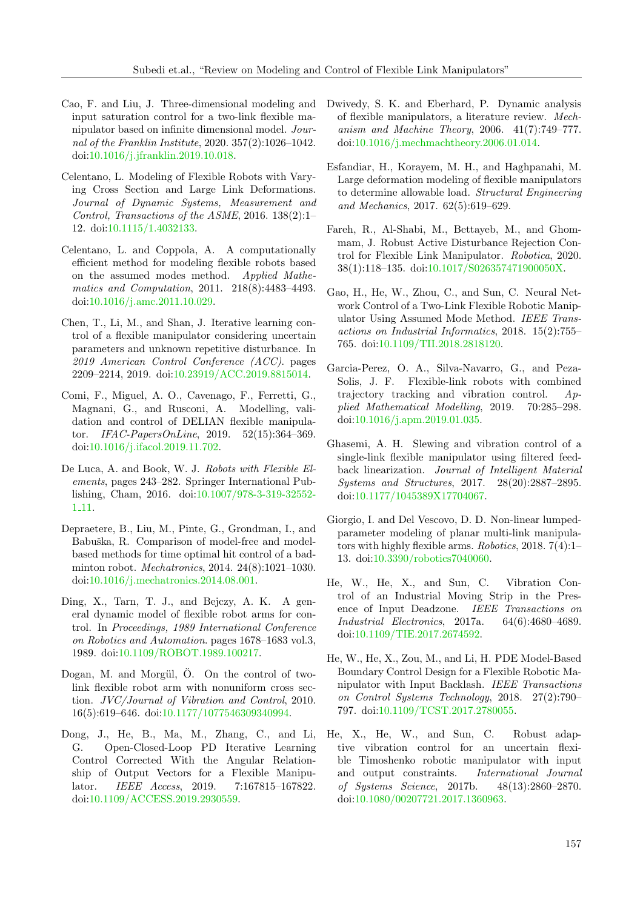- <span id="page-16-1"></span>Cao, F. and Liu, J. Three-dimensional modeling and input saturation control for a two-link flexible manipulator based on infinite dimensional model. Journal of the Franklin Institute, 2020. 357(2):1026–1042. doi[:10.1016/j.jfranklin.2019.10.018.](http://dx.doi.org/10.1016/j.jfranklin.2019.10.018)
- <span id="page-16-12"></span>Celentano, L. Modeling of Flexible Robots with Varying Cross Section and Large Link Deformations. Journal of Dynamic Systems, Measurement and Control, Transactions of the ASME, 2016. 138(2):1– 12. doi[:10.1115/1.4032133.](http://dx.doi.org/10.1115/1.4032133)
- <span id="page-16-5"></span>Celentano, L. and Coppola, A. A computationally efficient method for modeling flexible robots based on the assumed modes method. Applied Mathematics and Computation, 2011. 218(8):4483–4493. doi[:10.1016/j.amc.2011.10.029.](http://dx.doi.org/10.1016/j.amc.2011.10.029)
- <span id="page-16-19"></span>Chen, T., Li, M., and Shan, J. Iterative learning control of a flexible manipulator considering uncertain parameters and unknown repetitive disturbance. In 2019 American Control Conference (ACC). pages 2209–2214, 2019. doi[:10.23919/ACC.2019.8815014.](http://dx.doi.org/10.23919/ACC.2019.8815014)
- <span id="page-16-0"></span>Comi, F., Miguel, A. O., Cavenago, F., Ferretti, G., Magnani, G., and Rusconi, A. Modelling, validation and control of DELIAN flexible manipulator. IFAC-PapersOnLine, 2019. 52(15):364–369. doi[:10.1016/j.ifacol.2019.11.702.](http://dx.doi.org/10.1016/j.ifacol.2019.11.702)
- <span id="page-16-8"></span>De Luca, A. and Book, W. J. Robots with Flexible Elements, pages 243–282. Springer International Publishing, Cham, 2016. doi[:10.1007/978-3-319-32552-](http://dx.doi.org/10.1007/978-3-319-32552-1_11) 1 [11.](http://dx.doi.org/10.1007/978-3-319-32552-1_11)
- <span id="page-16-16"></span>Depraetere, B., Liu, M., Pinte, G., Grondman, I., and Babuška, R. Comparison of model-free and modelbased methods for time optimal hit control of a badminton robot. Mechatronics, 2014. 24(8):1021–1030. doi[:10.1016/j.mechatronics.2014.08.001.](http://dx.doi.org/10.1016/j.mechatronics.2014.08.001)
- <span id="page-16-9"></span>Ding, X., Tarn, T. J., and Bejczy, A. K. A general dynamic model of flexible robot arms for control. In Proceedings, 1989 International Conference on Robotics and Automation. pages 1678–1683 vol.3, 1989. doi[:10.1109/ROBOT.1989.100217.](http://dx.doi.org/10.1109/ROBOT.1989.100217)
- <span id="page-16-10"></span>Dogan, M. and Morgül,  $\ddot{O}$ . On the control of twolink flexible robot arm with nonuniform cross section. JVC/Journal of Vibration and Control, 2010. 16(5):619–646. doi[:10.1177/1077546309340994.](http://dx.doi.org/10.1177/1077546309340994)
- <span id="page-16-11"></span>Dong, J., He, B., Ma, M., Zhang, C., and Li, G. Open-Closed-Loop PD Iterative Learning Control Corrected With the Angular Relationship of Output Vectors for a Flexible Manipulator. IEEE Access, 2019. 7:167815–167822. doi[:10.1109/ACCESS.2019.2930559.](http://dx.doi.org/10.1109/ACCESS.2019.2930559)
- <span id="page-16-2"></span>Dwivedy, S. K. and Eberhard, P. Dynamic analysis of flexible manipulators, a literature review. Mechanism and Machine Theory, 2006. 41(7):749–777. doi[:10.1016/j.mechmachtheory.2006.01.014.](http://dx.doi.org/10.1016/j.mechmachtheory.2006.01.014)
- <span id="page-16-13"></span>Esfandiar, H., Korayem, M. H., and Haghpanahi, M. Large deformation modeling of flexible manipulators to determine allowable load. Structural Engineering and Mechanics, 2017. 62(5):619–629.
- <span id="page-16-17"></span>Fareh, R., Al-Shabi, M., Bettayeb, M., and Ghommam, J. Robust Active Disturbance Rejection Control for Flexible Link Manipulator. Robotica, 2020. 38(1):118–135. doi[:10.1017/S026357471900050X.](http://dx.doi.org/10.1017/S026357471900050X)
- <span id="page-16-6"></span>Gao, H., He, W., Zhou, C., and Sun, C. Neural Network Control of a Two-Link Flexible Robotic Manipulator Using Assumed Mode Method. IEEE Transactions on Industrial Informatics, 2018. 15(2):755– 765. doi[:10.1109/TII.2018.2818120.](http://dx.doi.org/10.1109/TII.2018.2818120)
- <span id="page-16-7"></span>Garcia-Perez, O. A., Silva-Navarro, G., and Peza-Solis, J. F. Flexible-link robots with combined trajectory tracking and vibration control. Applied Mathematical Modelling, 2019. 70:285–298. doi[:10.1016/j.apm.2019.01.035.](http://dx.doi.org/10.1016/j.apm.2019.01.035)
- <span id="page-16-14"></span>Ghasemi, A. H. Slewing and vibration control of a single-link flexible manipulator using filtered feedback linearization. Journal of Intelligent Material Systems and Structures, 2017. 28(20):2887–2895. doi[:10.1177/1045389X17704067.](http://dx.doi.org/10.1177/1045389X17704067)
- <span id="page-16-3"></span>Giorgio, I. and Del Vescovo, D. D. Non-linear lumpedparameter modeling of planar multi-link manipulators with highly flexible arms. Robotics, 2018. 7(4):1– 13. doi[:10.3390/robotics7040060.](http://dx.doi.org/10.3390/robotics7040060)
- <span id="page-16-4"></span>He, W., He, X., and Sun, C. Vibration Control of an Industrial Moving Strip in the Presence of Input Deadzone. IEEE Transactions on Industrial Electronics, 2017a. 64(6):4680–4689. doi[:10.1109/TIE.2017.2674592.](http://dx.doi.org/10.1109/TIE.2017.2674592)
- <span id="page-16-15"></span>He, W., He, X., Zou, M., and Li, H. PDE Model-Based Boundary Control Design for a Flexible Robotic Manipulator with Input Backlash. IEEE Transactions on Control Systems Technology, 2018. 27(2):790– 797. doi[:10.1109/TCST.2017.2780055.](http://dx.doi.org/10.1109/TCST.2017.2780055)
- <span id="page-16-18"></span>He, X., He, W., and Sun, C. Robust adaptive vibration control for an uncertain flexible Timoshenko robotic manipulator with input and output constraints. International Journal of Systems Science, 2017b. 48(13):2860–2870. doi[:10.1080/00207721.2017.1360963.](http://dx.doi.org/10.1080/00207721.2017.1360963)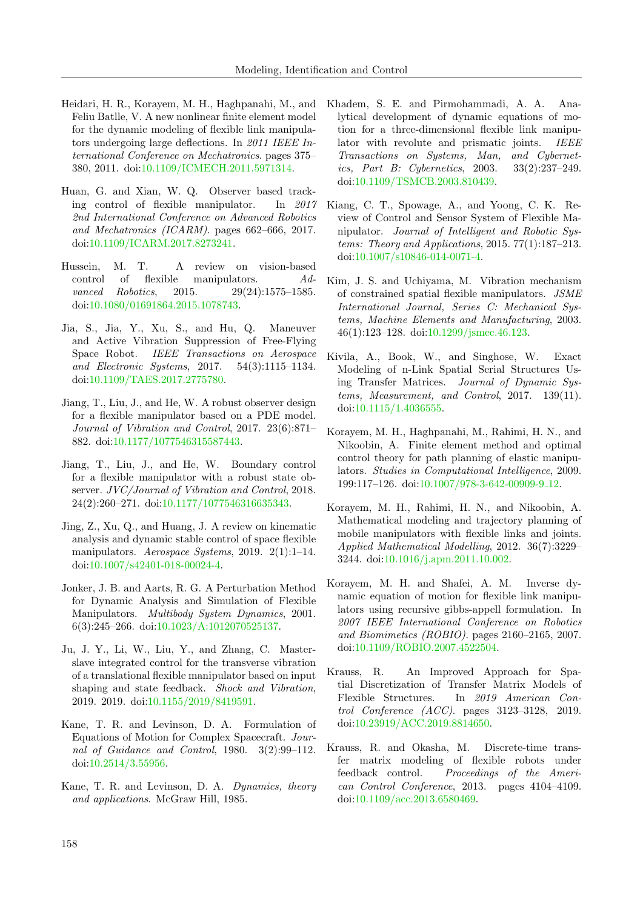- <span id="page-17-8"></span>Heidari, H. R., Korayem, M. H., Haghpanahi, M., and Feliu Batlle, V. A new nonlinear finite element model for the dynamic modeling of flexible link manipulators undergoing large deflections. In 2011 IEEE International Conference on Mechatronics. pages 375– 380, 2011. doi[:10.1109/ICMECH.2011.5971314.](http://dx.doi.org/10.1109/ICMECH.2011.5971314)
- <span id="page-17-17"></span>Huan, G. and Xian, W. Q. Observer based tracking control of flexible manipulator. In 2017 2nd International Conference on Advanced Robotics and Mechatronics (ICARM). pages 662–666, 2017. doi[:10.1109/ICARM.2017.8273241.](http://dx.doi.org/10.1109/ICARM.2017.8273241)
- <span id="page-17-2"></span>Hussein, M. T. A review on vision-based control of flexible manipulators. Advanced Robotics, 2015. 29(24):1575–1585. doi[:10.1080/01691864.2015.1078743.](http://dx.doi.org/10.1080/01691864.2015.1078743)
- <span id="page-17-15"></span>Jia, S., Jia, Y., Xu, S., and Hu, Q. Maneuver and Active Vibration Suppression of Free-Flying Space Robot. IEEE Transactions on Aerospace and Electronic Systems, 2017. 54(3):1115–1134. doi[:10.1109/TAES.2017.2775780.](http://dx.doi.org/10.1109/TAES.2017.2775780)
- <span id="page-17-16"></span>Jiang, T., Liu, J., and He, W. A robust observer design for a flexible manipulator based on a PDE model. Journal of Vibration and Control, 2017. 23(6):871– 882. doi[:10.1177/1077546315587443.](http://dx.doi.org/10.1177/1077546315587443)
- <span id="page-17-19"></span>Jiang, T., Liu, J., and He, W. Boundary control for a flexible manipulator with a robust state observer. JVC/Journal of Vibration and Control, 2018. 24(2):260–271. doi[:10.1177/1077546316635343.](http://dx.doi.org/10.1177/1077546316635343)
- <span id="page-17-1"></span>Jing, Z., Xu, Q., and Huang, J. A review on kinematic analysis and dynamic stable control of space flexible manipulators. Aerospace Systems, 2019. 2(1):1-14. doi[:10.1007/s42401-018-00024-4.](http://dx.doi.org/10.1007/s42401-018-00024-4)
- <span id="page-17-4"></span>Jonker, J. B. and Aarts, R. G. A Perturbation Method for Dynamic Analysis and Simulation of Flexible Manipulators. *Multibody System Dynamics*, 2001. 6(3):245–266. doi[:10.1023/A:1012070525137.](http://dx.doi.org/10.1023/A:1012070525137)
- <span id="page-17-18"></span>Ju, J. Y., Li, W., Liu, Y., and Zhang, C. Masterslave integrated control for the transverse vibration of a translational flexible manipulator based on input shaping and state feedback. Shock and Vibration, 2019. 2019. doi[:10.1155/2019/8419591.](http://dx.doi.org/10.1155/2019/8419591)
- <span id="page-17-12"></span>Kane, T. R. and Levinson, D. A. Formulation of Equations of Motion for Complex Spacecraft. Journal of Guidance and Control, 1980. 3(2):99–112. doi[:10.2514/3.55956.](http://dx.doi.org/10.2514/3.55956)
- <span id="page-17-14"></span>Kane, T. R. and Levinson, D. A. Dynamics, theory and applications. McGraw Hill, 1985.
- <span id="page-17-3"></span>Khadem, S. E. and Pirmohammadi, A. A. Analytical development of dynamic equations of motion for a three-dimensional flexible link manipulator with revolute and prismatic joints. IEEE Transactions on Systems, Man, and Cybernetics, Part B: Cybernetics, 2003. 33(2):237–249. doi[:10.1109/TSMCB.2003.810439.](http://dx.doi.org/10.1109/TSMCB.2003.810439)
- <span id="page-17-0"></span>Kiang, C. T., Spowage, A., and Yoong, C. K. Review of Control and Sensor System of Flexible Manipulator. Journal of Intelligent and Robotic Systems: Theory and Applications, 2015. 77(1):187–213. doi[:10.1007/s10846-014-0071-4.](http://dx.doi.org/10.1007/s10846-014-0071-4)
- <span id="page-17-5"></span>Kim, J. S. and Uchiyama, M. Vibration mechanism of constrained spatial flexible manipulators. JSME International Journal, Series C: Mechanical Systems, Machine Elements and Manufacturing, 2003. 46(1):123–128. doi[:10.1299/jsmec.46.123.](http://dx.doi.org/10.1299/jsmec.46.123)
- <span id="page-17-10"></span>Kivila, A., Book, W., and Singhose, W. Exact Modeling of n-Link Spatial Serial Structures Using Transfer Matrices. Journal of Dynamic Systems, Measurement, and Control, 2017. 139(11). doi[:10.1115/1.4036555.](http://dx.doi.org/10.1115/1.4036555)
- <span id="page-17-7"></span>Korayem, M. H., Haghpanahi, M., Rahimi, H. N., and Nikoobin, A. Finite element method and optimal control theory for path planning of elastic manipulators. Studies in Computational Intelligence, 2009. 199:117–126. doi[:10.1007/978-3-642-00909-9](http://dx.doi.org/10.1007/978-3-642-00909-9_12) 12.
- <span id="page-17-6"></span>Korayem, M. H., Rahimi, H. N., and Nikoobin, A. Mathematical modeling and trajectory planning of mobile manipulators with flexible links and joints. Applied Mathematical Modelling, 2012. 36(7):3229– 3244. doi[:10.1016/j.apm.2011.10.002.](http://dx.doi.org/10.1016/j.apm.2011.10.002)
- <span id="page-17-13"></span>Korayem, M. H. and Shafei, A. M. Inverse dynamic equation of motion for flexible link manipulators using recursive gibbs-appell formulation. In 2007 IEEE International Conference on Robotics and Biomimetics (ROBIO). pages 2160–2165, 2007. doi[:10.1109/ROBIO.2007.4522504.](http://dx.doi.org/10.1109/ROBIO.2007.4522504)
- <span id="page-17-11"></span>Krauss, R. An Improved Approach for Spatial Discretization of Transfer Matrix Models of Flexible Structures. In 2019 American Control Conference (ACC). pages 3123–3128, 2019. doi[:10.23919/ACC.2019.8814650.](http://dx.doi.org/10.23919/ACC.2019.8814650)
- <span id="page-17-9"></span>Krauss, R. and Okasha, M. Discrete-time transfer matrix modeling of flexible robots under feedback control. Proceedings of the American Control Conference, 2013. pages 4104–4109. doi[:10.1109/acc.2013.6580469.](http://dx.doi.org/10.1109/acc.2013.6580469)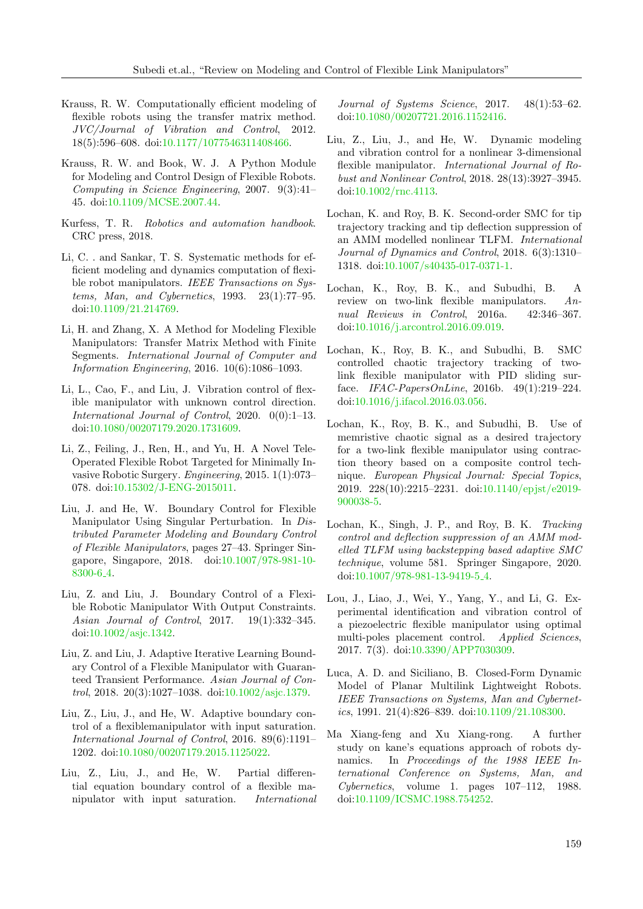- <span id="page-18-9"></span>Krauss, R. W. Computationally efficient modeling of flexible robots using the transfer matrix method. JVC/Journal of Vibration and Control, 2012. 18(5):596–608. doi[:10.1177/1077546311408466.](http://dx.doi.org/10.1177/1077546311408466)
- <span id="page-18-7"></span>Krauss, R. W. and Book, W. J. A Python Module for Modeling and Control Design of Flexible Robots. Computing in Science Engineering, 2007. 9(3):41– 45. doi[:10.1109/MCSE.2007.44.](http://dx.doi.org/10.1109/MCSE.2007.44)
- <span id="page-18-4"></span>Kurfess, T. R. Robotics and automation handbook. CRC press, 2018.
- <span id="page-18-11"></span>Li, C. . and Sankar, T. S. Systematic methods for efficient modeling and dynamics computation of flexible robot manipulators. IEEE Transactions on Systems, Man, and Cybernetics, 1993. 23(1):77–95. doi[:10.1109/21.214769.](http://dx.doi.org/10.1109/21.214769)
- <span id="page-18-8"></span>Li, H. and Zhang, X. A Method for Modeling Flexible Manipulators: Transfer Matrix Method with Finite Segments. International Journal of Computer and Information Engineering, 2016. 10(6):1086–1093.
- <span id="page-18-15"></span>Li, L., Cao, F., and Liu, J. Vibration control of flexible manipulator with unknown control direction. International Journal of Control, 2020. 0(0):1–13. doi[:10.1080/00207179.2020.1731609.](http://dx.doi.org/10.1080/00207179.2020.1731609)
- <span id="page-18-0"></span>Li, Z., Feiling, J., Ren, H., and Yu, H. A Novel Tele-Operated Flexible Robot Targeted for Minimally Invasive Robotic Surgery. Engineering, 2015. 1(1):073– 078. doi[:10.15302/J-ENG-2015011.](http://dx.doi.org/10.15302/J-ENG-2015011)
- <span id="page-18-17"></span>Liu, J. and He, W. Boundary Control for Flexible Manipulator Using Singular Perturbation. In Distributed Parameter Modeling and Boundary Control of Flexible Manipulators, pages 27–43. Springer Singapore, Singapore, 2018. doi[:10.1007/978-981-10-](http://dx.doi.org/10.1007/978-981-10-8300-6_4) [8300-6](http://dx.doi.org/10.1007/978-981-10-8300-6_4) 4.
- <span id="page-18-19"></span>Liu, Z. and Liu, J. Boundary Control of a Flexible Robotic Manipulator With Output Constraints. Asian Journal of Control, 2017. 19(1):332–345. doi[:10.1002/asjc.1342.](http://dx.doi.org/10.1002/asjc.1342)
- <span id="page-18-20"></span>Liu, Z. and Liu, J. Adaptive Iterative Learning Boundary Control of a Flexible Manipulator with Guaranteed Transient Performance. Asian Journal of Control, 2018. 20(3):1027–1038. doi[:10.1002/asjc.1379.](http://dx.doi.org/10.1002/asjc.1379)
- <span id="page-18-18"></span>Liu, Z., Liu, J., and He, W. Adaptive boundary control of a flexiblemanipulator with input saturation. International Journal of Control, 2016. 89(6):1191– 1202. doi[:10.1080/00207179.2015.1125022.](http://dx.doi.org/10.1080/00207179.2015.1125022)
- <span id="page-18-13"></span>Liu, Z., Liu, J., and He, W. Partial differential equation boundary control of a flexible manipulator with input saturation. International

Journal of Systems Science, 2017. 48(1):53–62. doi[:10.1080/00207721.2016.1152416.](http://dx.doi.org/10.1080/00207721.2016.1152416)

- <span id="page-18-14"></span>Liu, Z., Liu, J., and He, W. Dynamic modeling and vibration control for a nonlinear 3-dimensional flexible manipulator. International Journal of Robust and Nonlinear Control, 2018. 28(13):3927–3945. doi[:10.1002/rnc.4113.](http://dx.doi.org/10.1002/rnc.4113)
- <span id="page-18-5"></span>Lochan, K. and Roy, B. K. Second-order SMC for tip trajectory tracking and tip deflection suppression of an AMM modelled nonlinear TLFM. International Journal of Dynamics and Control, 2018. 6(3):1310– 1318. doi[:10.1007/s40435-017-0371-1.](http://dx.doi.org/10.1007/s40435-017-0371-1)
- <span id="page-18-1"></span>Lochan, K., Roy, B. K., and Subudhi, B. A review on two-link flexible manipulators. Annual Reviews in Control, 2016a. 42:346–367. doi[:10.1016/j.arcontrol.2016.09.019.](http://dx.doi.org/10.1016/j.arcontrol.2016.09.019)
- <span id="page-18-2"></span>Lochan, K., Roy, B. K., and Subudhi, B. SMC controlled chaotic trajectory tracking of twolink flexible manipulator with PID sliding surface. IFAC-PapersOnLine, 2016b. 49(1):219–224. doi[:10.1016/j.ifacol.2016.03.056.](http://dx.doi.org/10.1016/j.ifacol.2016.03.056)
- <span id="page-18-10"></span>Lochan, K., Roy, B. K., and Subudhi, B. Use of memristive chaotic signal as a desired trajectory for a two-link flexible manipulator using contraction theory based on a composite control technique. European Physical Journal: Special Topics, 2019. 228(10):2215–2231. doi[:10.1140/epjst/e2019-](http://dx.doi.org/10.1140/epjst/e2019-900038-5) [900038-5.](http://dx.doi.org/10.1140/epjst/e2019-900038-5)
- <span id="page-18-6"></span>Lochan, K., Singh, J. P., and Roy, B. K. Tracking control and deflection suppression of an AMM modelled TLFM using backstepping based adaptive SMC technique, volume 581. Springer Singapore, 2020. doi[:10.1007/978-981-13-9419-5](http://dx.doi.org/10.1007/978-981-13-9419-5_4) 4.
- <span id="page-18-16"></span>Lou, J., Liao, J., Wei, Y., Yang, Y., and Li, G. Experimental identification and vibration control of a piezoelectric flexible manipulator using optimal multi-poles placement control. Applied Sciences, 2017. 7(3). doi[:10.3390/APP7030309.](http://dx.doi.org/10.3390/APP7030309)
- <span id="page-18-3"></span>Luca, A. D. and Siciliano, B. Closed-Form Dynamic Model of Planar Multilink Lightweight Robots. IEEE Transactions on Systems, Man and Cybernetics, 1991. 21(4):826–839. doi[:10.1109/21.108300.](http://dx.doi.org/10.1109/21.108300)
- <span id="page-18-12"></span>Ma Xiang-feng and Xu Xiang-rong. A further study on kane's equations approach of robots dynamics. In Proceedings of the 1988 IEEE International Conference on Systems, Man, and Cybernetics, volume 1. pages 107–112, 1988. doi[:10.1109/ICSMC.1988.754252.](http://dx.doi.org/10.1109/ICSMC.1988.754252)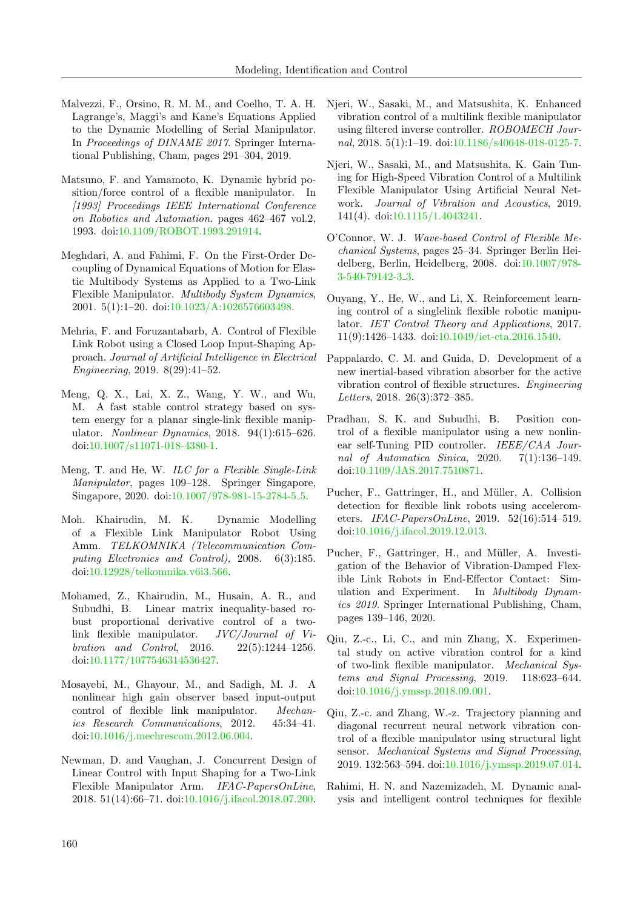- <span id="page-19-9"></span>Malvezzi, F., Orsino, R. M. M., and Coelho, T. A. H. Lagrange's, Maggi's and Kane's Equations Applied to the Dynamic Modelling of Serial Manipulator. In Proceedings of DINAME 2017. Springer International Publishing, Cham, pages 291–304, 2019.
- <span id="page-19-16"></span>Matsuno, F. and Yamamoto, K. Dynamic hybrid position/force control of a flexible manipulator. In [1993] Proceedings IEEE International Conference on Robotics and Automation. pages 462–467 vol.2, 1993. doi[:10.1109/ROBOT.1993.291914.](http://dx.doi.org/10.1109/ROBOT.1993.291914)
- <span id="page-19-13"></span>Meghdari, A. and Fahimi, F. On the First-Order Decoupling of Dynamical Equations of Motion for Elastic Multibody Systems as Applied to a Two-Link Flexible Manipulator. Multibody System Dynamics, 2001. 5(1):1–20. doi[:10.1023/A:1026576603498.](http://dx.doi.org/10.1023/A:1026576603498)
- <span id="page-19-12"></span>Mehria, F. and Foruzantabarb, A. Control of Flexible Link Robot using a Closed Loop Input-Shaping Approach. Journal of Artificial Intelligence in Electrical Engineering, 2019. 8(29):41–52.
- <span id="page-19-6"></span>Meng, Q. X., Lai, X. Z., Wang, Y. W., and Wu, M. A fast stable control strategy based on system energy for a planar single-link flexible manipulator. Nonlinear Dynamics, 2018. 94(1):615–626. doi[:10.1007/s11071-018-4380-1.](http://dx.doi.org/10.1007/s11071-018-4380-1)
- <span id="page-19-8"></span>Meng, T. and He, W. ILC for a Flexible Single-Link Manipulator, pages 109–128. Springer Singapore, Singapore, 2020. doi[:10.1007/978-981-15-2784-5](http://dx.doi.org/10.1007/978-981-15-2784-5_5)<sub>-5</sub>.
- <span id="page-19-4"></span>Moh. Khairudin, M. K. Dynamic Modelling of a Flexible Link Manipulator Robot Using Amm. TELKOMNIKA (Telecommunication Computing Electronics and Control), 2008. 6(3):185. doi[:10.12928/telkomnika.v6i3.566.](http://dx.doi.org/10.12928/telkomnika.v6i3.566)
- <span id="page-19-14"></span>Mohamed, Z., Khairudin, M., Husain, A. R., and Subudhi, B. Linear matrix inequality-based robust proportional derivative control of a twolink flexible manipulator. JVC/Journal of Vibration and Control, 2016. 22(5):1244–1256. doi[:10.1177/1077546314536427.](http://dx.doi.org/10.1177/1077546314536427)
- <span id="page-19-19"></span>Mosayebi, M., Ghayour, M., and Sadigh, M. J. A nonlinear high gain observer based input-output control of flexible link manipulator. Mechanics Research Communications, 2012. 45:34–41. doi[:10.1016/j.mechrescom.2012.06.004.](http://dx.doi.org/10.1016/j.mechrescom.2012.06.004)
- <span id="page-19-18"></span>Newman, D. and Vaughan, J. Concurrent Design of Linear Control with Input Shaping for a Two-Link Flexible Manipulator Arm. IFAC-PapersOnLine, 2018. 51(14):66–71. doi[:10.1016/j.ifacol.2018.07.200.](http://dx.doi.org/10.1016/j.ifacol.2018.07.200)
- <span id="page-19-17"></span>Njeri, W., Sasaki, M., and Matsushita, K. Enhanced vibration control of a multilink flexible manipulator using filtered inverse controller. ROBOMECH Journal, 2018. 5(1):1–19. doi[:10.1186/s40648-018-0125-7.](http://dx.doi.org/10.1186/s40648-018-0125-7)
- <span id="page-19-15"></span>Njeri, W., Sasaki, M., and Matsushita, K. Gain Tuning for High-Speed Vibration Control of a Multilink Flexible Manipulator Using Artificial Neural Network. Journal of Vibration and Acoustics, 2019. 141(4). doi[:10.1115/1.4043241.](http://dx.doi.org/10.1115/1.4043241)
- <span id="page-19-20"></span>O'Connor, W. J. Wave-based Control of Flexible Mechanical Systems, pages 25–34. Springer Berlin Heidelberg, Berlin, Heidelberg, 2008. doi[:10.1007/978-](http://dx.doi.org/10.1007/978-3-540-79142-3_3) [3-540-79142-3](http://dx.doi.org/10.1007/978-3-540-79142-3_3) 3.
- <span id="page-19-5"></span>Ouyang, Y., He, W., and Li, X. Reinforcement learning control of a singlelink flexible robotic manipulator. IET Control Theory and Applications, 2017. 11(9):1426–1433. doi[:10.1049/iet-cta.2016.1540.](http://dx.doi.org/10.1049/iet-cta.2016.1540)
- <span id="page-19-1"></span>Pappalardo, C. M. and Guida, D. Development of a new inertial-based vibration absorber for the active vibration control of flexible structures. Engineering Letters, 2018. 26(3):372–385.
- <span id="page-19-11"></span>Pradhan, S. K. and Subudhi, B. Position control of a flexible manipulator using a new nonlinear self-Tuning PID controller. IEEE/CAA Journal of Automatica Sinica, 2020. 7(1):136–149. doi[:10.1109/JAS.2017.7510871.](http://dx.doi.org/10.1109/JAS.2017.7510871)
- <span id="page-19-2"></span>Pucher, F., Gattringer, H., and Müller, A. Collision detection for flexible link robots using accelerometers. IFAC-PapersOnLine, 2019. 52(16):514–519. doi[:10.1016/j.ifacol.2019.12.013.](http://dx.doi.org/10.1016/j.ifacol.2019.12.013)
- <span id="page-19-3"></span>Pucher, F., Gattringer, H., and Müller, A. Investigation of the Behavior of Vibration-Damped Flexible Link Robots in End-Effector Contact: Simulation and Experiment. In Multibody Dynamics 2019. Springer International Publishing, Cham, pages 139–146, 2020.
- <span id="page-19-7"></span>Qiu, Z.-c., Li, C., and min Zhang, X. Experimental study on active vibration control for a kind of two-link flexible manipulator. Mechanical Systems and Signal Processing, 2019. 118:623–644. doi[:10.1016/j.ymssp.2018.09.001.](http://dx.doi.org/10.1016/j.ymssp.2018.09.001)
- <span id="page-19-10"></span>Qiu, Z.-c. and Zhang, W.-z. Trajectory planning and diagonal recurrent neural network vibration control of a flexible manipulator using structural light sensor. Mechanical Systems and Signal Processing, 2019. 132:563–594. doi[:10.1016/j.ymssp.2019.07.014.](http://dx.doi.org/10.1016/j.ymssp.2019.07.014)
- <span id="page-19-0"></span>Rahimi, H. N. and Nazemizadeh, M. Dynamic analysis and intelligent control techniques for flexible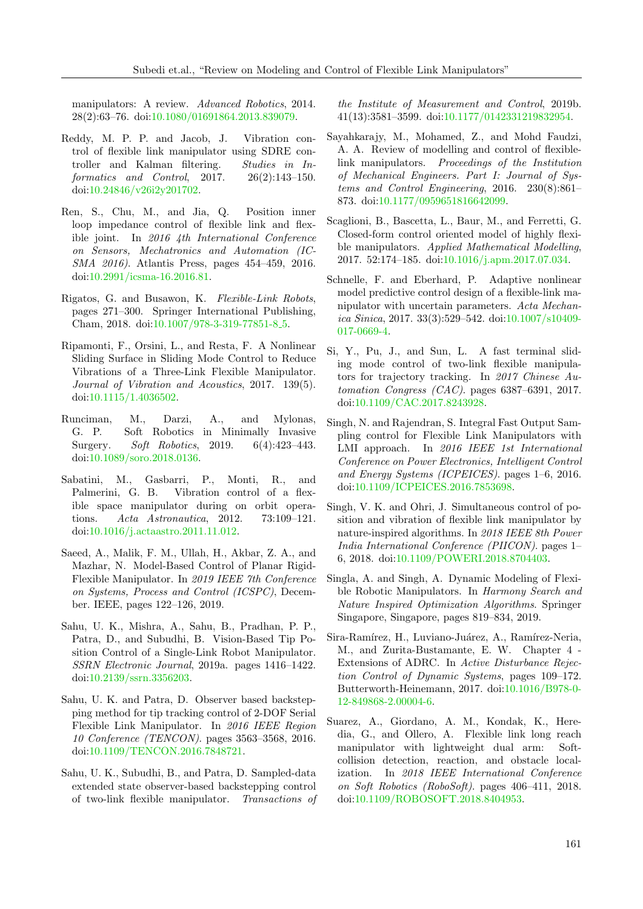manipulators: A review. Advanced Robotics, 2014. 28(2):63–76. doi[:10.1080/01691864.2013.839079.](http://dx.doi.org/10.1080/01691864.2013.839079)

- <span id="page-20-5"></span>Reddy, M. P. P. and Jacob, J. Vibration control of flexible link manipulator using SDRE controller and Kalman filtering. Studies in Informatics and Control, 2017. 26(2):143–150. doi[:10.24846/v26i2y201702.](http://dx.doi.org/10.24846/v26i2y201702)
- <span id="page-20-11"></span>Ren, S., Chu, M., and Jia, Q. Position inner loop impedance control of flexible link and flexible joint. In 2016 4th International Conference on Sensors, Mechatronics and Automation (IC-SMA 2016). Atlantis Press, pages 454–459, 2016. doi[:10.2991/icsma-16.2016.81.](http://dx.doi.org/10.2991/icsma-16.2016.81)
- <span id="page-20-14"></span>Rigatos, G. and Busawon, K. Flexible-Link Robots, pages 271–300. Springer International Publishing, Cham, 2018. doi[:10.1007/978-3-319-77851-8](http://dx.doi.org/10.1007/978-3-319-77851-8_5)<sub>-</sub>5.
- <span id="page-20-15"></span>Ripamonti, F., Orsini, L., and Resta, F. A Nonlinear Sliding Surface in Sliding Mode Control to Reduce Vibrations of a Three-Link Flexible Manipulator. Journal of Vibration and Acoustics, 2017. 139(5). doi[:10.1115/1.4036502.](http://dx.doi.org/10.1115/1.4036502)
- <span id="page-20-1"></span>Runciman, M., Darzi, A., and Mylonas, G. P. Soft Robotics in Minimally Invasive Surgery. Soft Robotics, 2019. 6(4):423–443. doi[:10.1089/soro.2018.0136.](http://dx.doi.org/10.1089/soro.2018.0136)
- <span id="page-20-0"></span>Sabatini, M., Gasbarri, P., Monti, R., and Palmerini, G. B. Vibration control of a flexible space manipulator during on orbit operations. Acta Astronautica, 2012. 73:109–121. doi[:10.1016/j.actaastro.2011.11.012.](http://dx.doi.org/10.1016/j.actaastro.2011.11.012)
- <span id="page-20-4"></span>Saeed, A., Malik, F. M., Ullah, H., Akbar, Z. A., and Mazhar, N. Model-Based Control of Planar Rigid-Flexible Manipulator. In 2019 IEEE 7th Conference on Systems, Process and Control (ICSPC), December. IEEE, pages 122–126, 2019.
- <span id="page-20-13"></span>Sahu, U. K., Mishra, A., Sahu, B., Pradhan, P. P., Patra, D., and Subudhi, B. Vision-Based Tip Position Control of a Single-Link Robot Manipulator. SSRN Electronic Journal, 2019a. pages 1416–1422. doi[:10.2139/ssrn.3356203.](http://dx.doi.org/10.2139/ssrn.3356203)
- <span id="page-20-7"></span>Sahu, U. K. and Patra, D. Observer based backstepping method for tip tracking control of 2-DOF Serial Flexible Link Manipulator. In 2016 IEEE Region 10 Conference (TENCON). pages 3563–3568, 2016. doi[:10.1109/TENCON.2016.7848721.](http://dx.doi.org/10.1109/TENCON.2016.7848721)
- <span id="page-20-18"></span>Sahu, U. K., Subudhi, B., and Patra, D. Sampled-data extended state observer-based backstepping control of two-link flexible manipulator. Transactions of

the Institute of Measurement and Control, 2019b. 41(13):3581–3599. doi[:10.1177/0142331219832954.](http://dx.doi.org/10.1177/0142331219832954)

- <span id="page-20-3"></span>Sayahkarajy, M., Mohamed, Z., and Mohd Faudzi, A. A. Review of modelling and control of flexiblelink manipulators. Proceedings of the Institution of Mechanical Engineers. Part I: Journal of Systems and Control Engineering, 2016. 230(8):861– 873. doi[:10.1177/0959651816642099.](http://dx.doi.org/10.1177/0959651816642099)
- <span id="page-20-8"></span>Scaglioni, B., Bascetta, L., Baur, M., and Ferretti, G. Closed-form control oriented model of highly flexible manipulators. Applied Mathematical Modelling, 2017. 52:174–185. doi[:10.1016/j.apm.2017.07.034.](http://dx.doi.org/10.1016/j.apm.2017.07.034)
- <span id="page-20-16"></span>Schnelle, F. and Eberhard, P. Adaptive nonlinear model predictive control design of a flexible-link manipulator with uncertain parameters. Acta Mechanica Sinica, 2017. 33(3):529–542. doi[:10.1007/s10409-](http://dx.doi.org/10.1007/s10409-017-0669-4) [017-0669-4.](http://dx.doi.org/10.1007/s10409-017-0669-4)
- <span id="page-20-10"></span>Si, Y., Pu, J., and Sun, L. A fast terminal sliding mode control of two-link flexible manipulators for trajectory tracking. In 2017 Chinese Automation Congress (CAC). pages 6387–6391, 2017. doi[:10.1109/CAC.2017.8243928.](http://dx.doi.org/10.1109/CAC.2017.8243928)
- <span id="page-20-9"></span>Singh, N. and Rajendran, S. Integral Fast Output Sampling control for Flexible Link Manipulators with LMI approach. In 2016 IEEE 1st International Conference on Power Electronics, Intelligent Control and Energy Systems (ICPEICES). pages 1–6, 2016. doi[:10.1109/ICPEICES.2016.7853698.](http://dx.doi.org/10.1109/ICPEICES.2016.7853698)
- <span id="page-20-12"></span>Singh, V. K. and Ohri, J. Simultaneous control of position and vibration of flexible link manipulator by nature-inspired algorithms. In 2018 IEEE 8th Power India International Conference (PIICON). pages 1– 6, 2018. doi[:10.1109/POWERI.2018.8704403.](http://dx.doi.org/10.1109/POWERI.2018.8704403)
- <span id="page-20-6"></span>Singla, A. and Singh, A. Dynamic Modeling of Flexible Robotic Manipulators. In Harmony Search and Nature Inspired Optimization Algorithms. Springer Singapore, Singapore, pages 819–834, 2019.
- <span id="page-20-17"></span>Sira-Ramírez, H., Luviano-Juárez, A., Ramírez-Neria, M., and Zurita-Bustamante, E. W. Chapter 4 - Extensions of ADRC. In Active Disturbance Rejection Control of Dynamic Systems, pages 109–172. Butterworth-Heinemann, 2017. doi[:10.1016/B978-0-](http://dx.doi.org/10.1016/B978-0-12-849868-2.00004-6) [12-849868-2.00004-6.](http://dx.doi.org/10.1016/B978-0-12-849868-2.00004-6)
- <span id="page-20-2"></span>Suarez, A., Giordano, A. M., Kondak, K., Heredia, G., and Ollero, A. Flexible link long reach manipulator with lightweight dual arm: Softcollision detection, reaction, and obstacle localization. In 2018 IEEE International Conference on Soft Robotics (RoboSoft). pages 406–411, 2018. doi[:10.1109/ROBOSOFT.2018.8404953.](http://dx.doi.org/10.1109/ROBOSOFT.2018.8404953)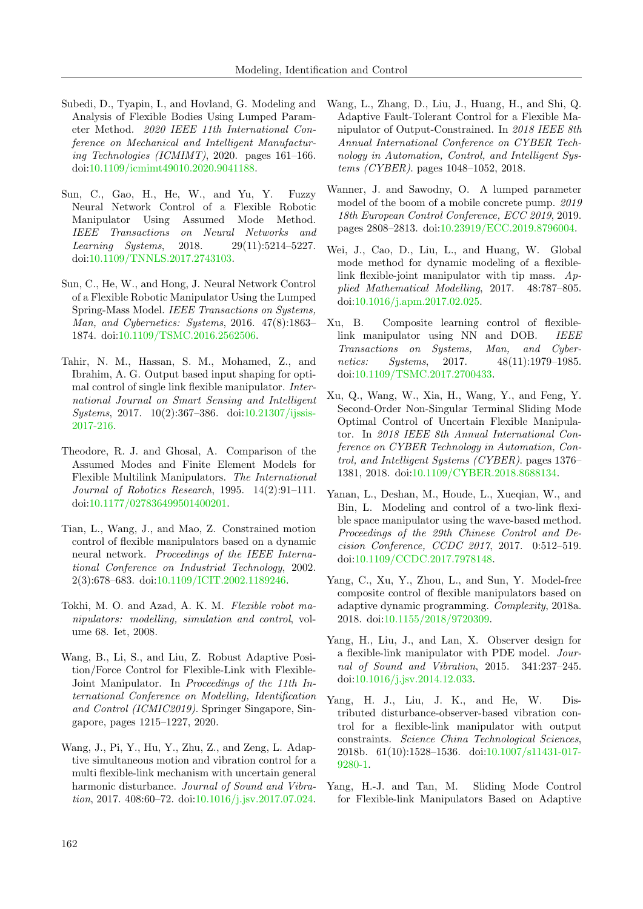- <span id="page-21-2"></span>Subedi, D., Tyapin, I., and Hovland, G. Modeling and Analysis of Flexible Bodies Using Lumped Parameter Method. 2020 IEEE 11th International Conference on Mechanical and Intelligent Manufacturing Technologies (ICMIMT), 2020. pages 161–166. doi[:10.1109/icmimt49010.2020.9041188.](http://dx.doi.org/10.1109/icmimt49010.2020.9041188)
- <span id="page-21-10"></span>Sun, C., Gao, H., He, W., and Yu, Y. Fuzzy Neural Network Control of a Flexible Robotic Manipulator Using Assumed Mode Method. IEEE Transactions on Neural Networks and Learning Systems, 2018. 29(11):5214–5227. doi[:10.1109/TNNLS.2017.2743103.](http://dx.doi.org/10.1109/TNNLS.2017.2743103)
- <span id="page-21-4"></span>Sun, C., He, W., and Hong, J. Neural Network Control of a Flexible Robotic Manipulator Using the Lumped Spring-Mass Model. IEEE Transactions on Systems, Man, and Cybernetics: Systems, 2016. 47(8):1863– 1874. doi[:10.1109/TSMC.2016.2562506.](http://dx.doi.org/10.1109/TSMC.2016.2562506)
- <span id="page-21-7"></span>Tahir, N. M., Hassan, S. M., Mohamed, Z., and Ibrahim, A. G. Output based input shaping for optimal control of single link flexible manipulator. International Journal on Smart Sensing and Intelligent Systems, 2017. 10(2):367–386. doi[:10.21307/ijssis-](http://dx.doi.org/10.21307/ijssis-2017-216)[2017-216.](http://dx.doi.org/10.21307/ijssis-2017-216)
- <span id="page-21-5"></span>Theodore, R. J. and Ghosal, A. Comparison of the Assumed Modes and Finite Element Models for Flexible Multilink Manipulators. The International Journal of Robotics Research, 1995. 14(2):91–111. doi[:10.1177/027836499501400201.](http://dx.doi.org/10.1177/027836499501400201)
- <span id="page-21-13"></span>Tian, L., Wang, J., and Mao, Z. Constrained motion control of flexible manipulators based on a dynamic neural network. Proceedings of the IEEE International Conference on Industrial Technology, 2002. 2(3):678–683. doi[:10.1109/ICIT.2002.1189246.](http://dx.doi.org/10.1109/ICIT.2002.1189246)
- <span id="page-21-6"></span>Tokhi, M. O. and Azad, A. K. M. Flexible robot manipulators: modelling, simulation and control, volume 68. Iet, 2008.
- <span id="page-21-14"></span>Wang, B., Li, S., and Liu, Z. Robust Adaptive Position/Force Control for Flexible-Link with Flexible-Joint Manipulator. In Proceedings of the 11th International Conference on Modelling, Identification and Control (ICMIC2019). Springer Singapore, Singapore, pages 1215–1227, 2020.
- <span id="page-21-12"></span>Wang, J., Pi, Y., Hu, Y., Zhu, Z., and Zeng, L. Adaptive simultaneous motion and vibration control for a multi flexible-link mechanism with uncertain general harmonic disturbance. Journal of Sound and Vibration, 2017. 408:60–72. doi[:10.1016/j.jsv.2017.07.024.](http://dx.doi.org/10.1016/j.jsv.2017.07.024)
- <span id="page-21-16"></span>Wang, L., Zhang, D., Liu, J., Huang, H., and Shi, Q. Adaptive Fault-Tolerant Control for a Flexible Manipulator of Output-Constrained. In 2018 IEEE 8th Annual International Conference on CYBER Technology in Automation, Control, and Intelligent Systems (CYBER). pages 1048–1052, 2018.
- <span id="page-21-3"></span>Wanner, J. and Sawodny, O. A lumped parameter model of the boom of a mobile concrete pump. 2019 18th European Control Conference, ECC 2019, 2019. pages 2808–2813. doi[:10.23919/ECC.2019.8796004.](http://dx.doi.org/10.23919/ECC.2019.8796004)
- <span id="page-21-1"></span>Wei, J., Cao, D., Liu, L., and Huang, W. Global mode method for dynamic modeling of a flexiblelink flexible-joint manipulator with tip mass.  $Ap$ plied Mathematical Modelling, 2017. 48:787–805. doi[:10.1016/j.apm.2017.02.025.](http://dx.doi.org/10.1016/j.apm.2017.02.025)
- <span id="page-21-18"></span>Xu, B. Composite learning control of flexiblelink manipulator using NN and DOB. IEEE Transactions on Systems, Man, and Cybernetics: Systems, 2017. 48(11):1979–1985. doi[:10.1109/TSMC.2017.2700433.](http://dx.doi.org/10.1109/TSMC.2017.2700433)
- <span id="page-21-15"></span>Xu, Q., Wang, W., Xia, H., Wang, Y., and Feng, Y. Second-Order Non-Singular Terminal Sliding Mode Optimal Control of Uncertain Flexible Manipulator. In 2018 IEEE 8th Annual International Conference on CYBER Technology in Automation, Control, and Intelligent Systems (CYBER). pages 1376– 1381, 2018. doi[:10.1109/CYBER.2018.8688134.](http://dx.doi.org/10.1109/CYBER.2018.8688134)
- <span id="page-21-0"></span>Yanan, L., Deshan, M., Houde, L., Xueqian, W., and Bin, L. Modeling and control of a two-link flexible space manipulator using the wave-based method. Proceedings of the 29th Chinese Control and Decision Conference, CCDC 2017, 2017. 0:512–519. doi[:10.1109/CCDC.2017.7978148.](http://dx.doi.org/10.1109/CCDC.2017.7978148)
- <span id="page-21-17"></span>Yang, C., Xu, Y., Zhou, L., and Sun, Y. Model-free composite control of flexible manipulators based on adaptive dynamic programming. Complexity, 2018a. 2018. doi[:10.1155/2018/9720309.](http://dx.doi.org/10.1155/2018/9720309)
- <span id="page-21-11"></span>Yang, H., Liu, J., and Lan, X. Observer design for a flexible-link manipulator with PDE model. Journal of Sound and Vibration, 2015. 341:237–245. doi[:10.1016/j.jsv.2014.12.033.](http://dx.doi.org/10.1016/j.jsv.2014.12.033)
- <span id="page-21-8"></span>Yang, H. J., Liu, J. K., and He, W. Distributed disturbance-observer-based vibration control for a flexible-link manipulator with output constraints. Science China Technological Sciences, 2018b. 61(10):1528–1536. doi[:10.1007/s11431-017-](http://dx.doi.org/10.1007/s11431-017-9280-1) [9280-1.](http://dx.doi.org/10.1007/s11431-017-9280-1)
- <span id="page-21-9"></span>Yang, H.-J. and Tan, M. Sliding Mode Control for Flexible-link Manipulators Based on Adaptive